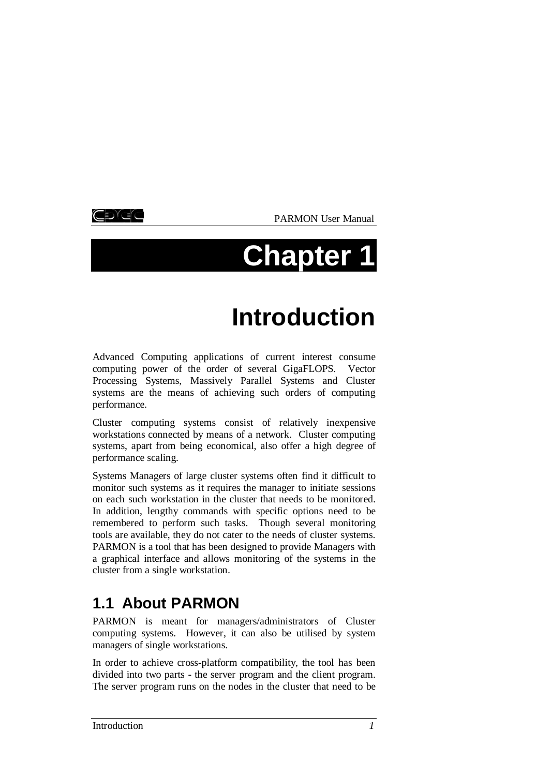korek

PARMON User Manual

# **Chapter 1**

# **Introduction**

Advanced Computing applications of current interest consume computing power of the order of several GigaFLOPS. Vector Processing Systems, Massively Parallel Systems and Cluster systems are the means of achieving such orders of computing performance.

Cluster computing systems consist of relatively inexpensive workstations connected by means of a network. Cluster computing systems, apart from being economical, also offer a high degree of performance scaling.

Systems Managers of large cluster systems often find it difficult to monitor such systems as it requires the manager to initiate sessions on each such workstation in the cluster that needs to be monitored. In addition, lengthy commands with specific options need to be remembered to perform such tasks. Though several monitoring tools are available, they do not cater to the needs of cluster systems. PARMON is a tool that has been designed to provide Managers with a graphical interface and allows monitoring of the systems in the cluster from a single workstation.

# **1.1 About PARMON**

PARMON is meant for managers/administrators of Cluster computing systems. However, it can also be utilised by system managers of single workstations.

In order to achieve cross-platform compatibility, the tool has been divided into two parts - the server program and the client program. The server program runs on the nodes in the cluster that need to be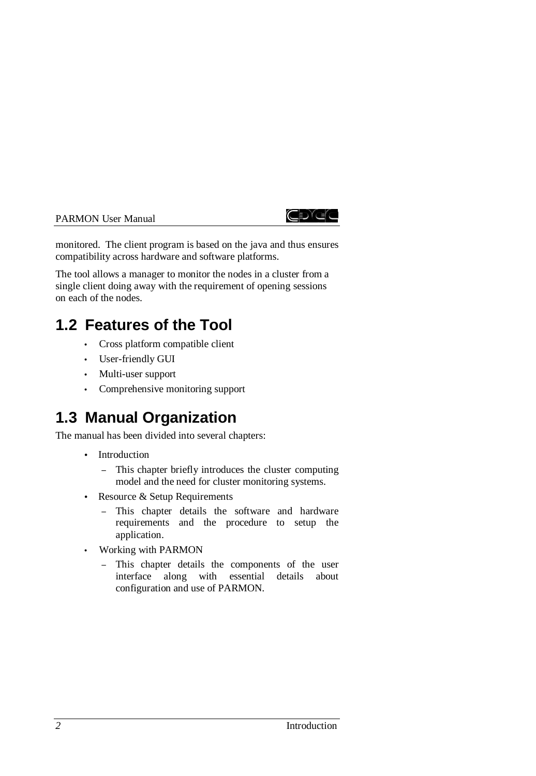



monitored. The client program is based on the java and thus ensures compatibility across hardware and software platforms.

The tool allows a manager to monitor the nodes in a cluster from a single client doing away with the requirement of opening sessions on each of the nodes.

# **1.2 Features of the Tool**

- Cross platform compatible client
- User-friendly GUI
- Multi-user support
- Comprehensive monitoring support

# **1.3 Manual Organization**

The manual has been divided into several chapters:

- Introduction
	- <sup>−</sup> This chapter briefly introduces the cluster computing model and the need for cluster monitoring systems.
- Resource & Setup Requirements
	- <sup>−</sup> This chapter details the software and hardware requirements and the procedure to setup the application.
- Working with PARMON
	- <sup>−</sup> This chapter details the components of the user interface along with essential details about configuration and use of PARMON.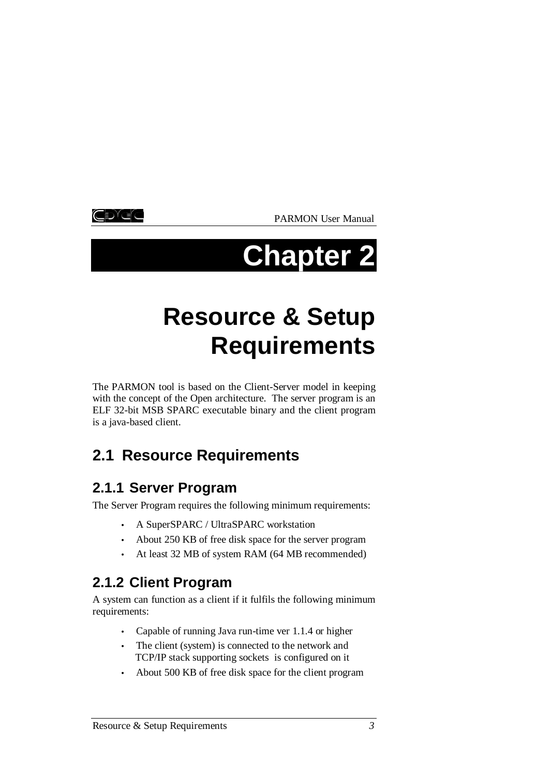korek

PARMON User Manual

# **Chapter 2**

# **Resource & Setup Requirements**

The PARMON tool is based on the Client-Server model in keeping with the concept of the Open architecture. The server program is an ELF 32-bit MSB SPARC executable binary and the client program is a java-based client.

# **2.1 Resource Requirements**

# **2.1.1 Server Program**

The Server Program requires the following minimum requirements:

- A SuperSPARC / UltraSPARC workstation
- About 250 KB of free disk space for the server program
- At least 32 MB of system RAM (64 MB recommended)

# **2.1.2 Client Program**

A system can function as a client if it fulfils the following minimum requirements:

- Capable of running Java run-time ver 1.1.4 or higher
- The client (system) is connected to the network and TCP/IP stack supporting sockets is configured on it
- About 500 KB of free disk space for the client program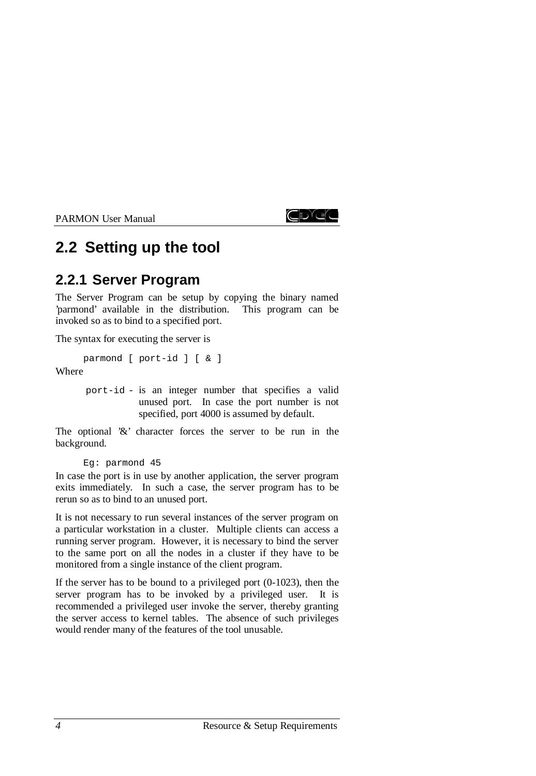

# **2.2 Setting up the tool**

# **2.2.1 Server Program**

The Server Program can be setup by copying the binary named 'parmond' available in the distribution. This program can be invoked so as to bind to a specified port.

The syntax for executing the server is

```
parmond [ port-id ] [ & ]
```
Where

port-id - is an integer number that specifies a valid unused port. In case the port number is not specified, port 4000 is assumed by default.

The optional '&' character forces the server to be run in the background.

```
Eg: parmond 45
```
In case the port is in use by another application, the server program exits immediately. In such a case, the server program has to be rerun so as to bind to an unused port.

It is not necessary to run several instances of the server program on a particular workstation in a cluster. Multiple clients can access a running server program. However, it is necessary to bind the server to the same port on all the nodes in a cluster if they have to be monitored from a single instance of the client program.

If the server has to be bound to a privileged port (0-1023), then the server program has to be invoked by a privileged user. It is recommended a privileged user invoke the server, thereby granting the server access to kernel tables. The absence of such privileges would render many of the features of the tool unusable.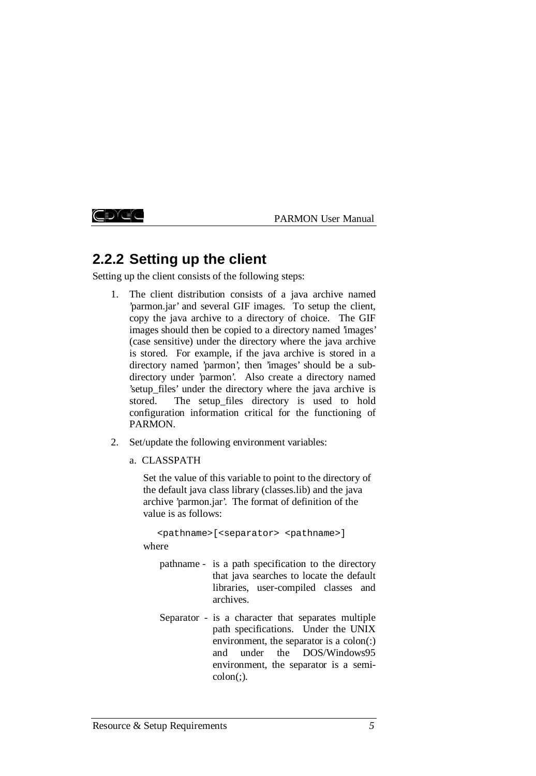ŒDE

PARMON User Manual

# **2.2.2 Setting up the client**

Setting up the client consists of the following steps:

- 1. The client distribution consists of a java archive named 'parmon.jar' and several GIF images. To setup the client, copy the java archive to a directory of choice. The GIF images should then be copied to a directory named 'images' (case sensitive) under the directory where the java archive is stored. For example, if the java archive is stored in a directory named 'parmon', then 'images' should be a subdirectory under 'parmon'. Also create a directory named 'setup\_files' under the directory where the java archive is stored. The setup files directory is used to hold configuration information critical for the functioning of PARMON.
- 2. Set/update the following environment variables:
	- a. CLASSPATH

Set the value of this variable to point to the directory of the default java class library (classes.lib) and the java archive 'parmon.jar'. The format of definition of the value is as follows:

<pathname>[<separator> <pathname>]

where

- pathname is a path specification to the directory that java searches to locate the default libraries, user-compiled classes and archives.
- Separator is a character that separates multiple path specifications. Under the UNIX environment, the separator is a colon(:) and under the DOS/Windows95 environment, the separator is a semi- $\text{colon}$  $\left($ ; $\right)$ .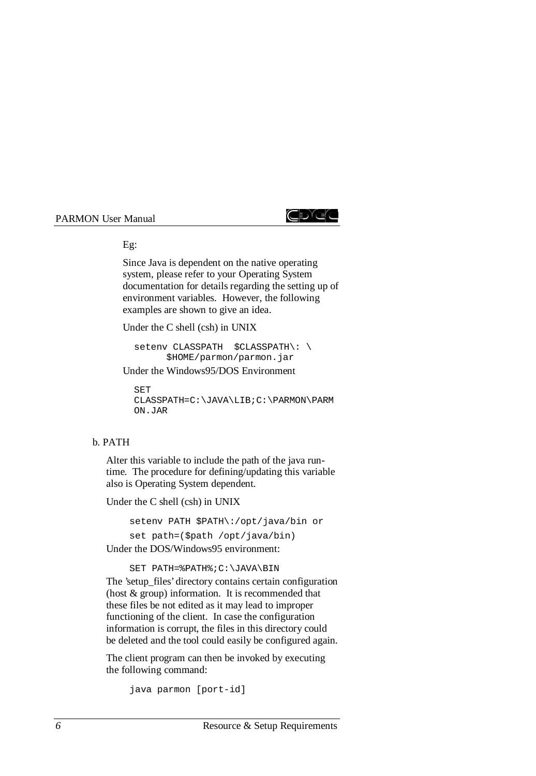

Eg:

Since Java is dependent on the native operating system, please refer to your Operating System documentation for details regarding the setting up of environment variables. However, the following examples are shown to give an idea.

Under the C shell (csh) in UNIX

setenv CLASSPATH \$CLASSPATH\: \ \$HOME/parmon/parmon.jar

Under the Windows95/DOS Environment

SET CLASSPATH=C:\JAVA\LIB;C:\PARMON\PARM ON.JAR

#### b. PATH

Alter this variable to include the path of the java runtime. The procedure for defining/updating this variable also is Operating System dependent.

Under the C shell (csh) in UNIX

setenv PATH \$PATH\:/opt/java/bin or set path=(\$path /opt/java/bin) Under the DOS/Windows95 environment:

SET PATH=%PATH%;C:\JAVA\BIN

The 'setup\_files' directory contains certain configuration (host & group) information. It is recommended that these files be not edited as it may lead to improper functioning of the client. In case the configuration information is corrupt, the files in this directory could be deleted and the tool could easily be configured again.

The client program can then be invoked by executing the following command:

```
java parmon [port-id]
```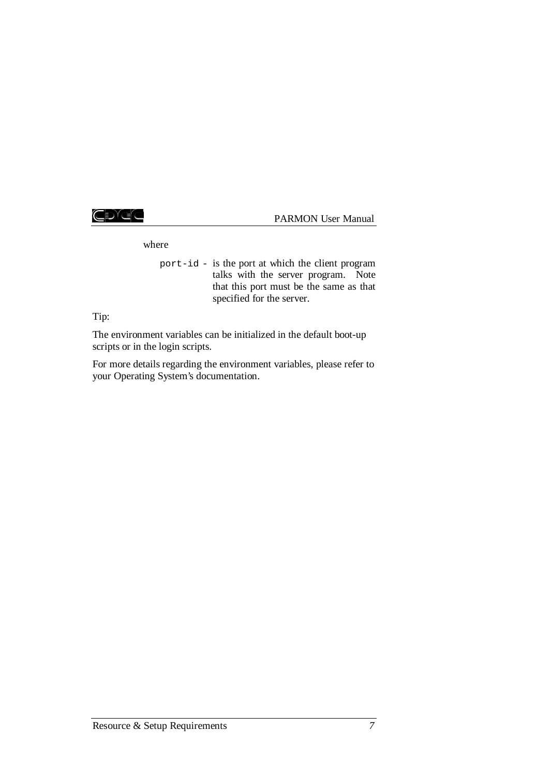CDGC

PARMON User Manual

where

port-id - is the port at which the client program talks with the server program. Note that this port must be the same as that specified for the server.

Tip:

The environment variables can be initialized in the default boot-up scripts or in the login scripts.

For more details regarding the environment variables, please refer to your Operating System's documentation.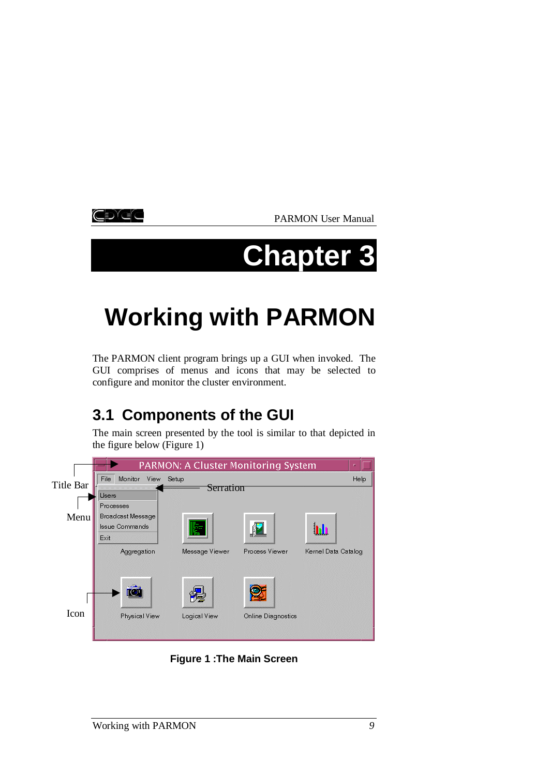kore

PARMON User Manual

# **Chapter 3**

# **Working with PARMON**

The PARMON client program brings up a GUI when invoked. The GUI comprises of menus and icons that may be selected to configure and monitor the cluster environment.

# **3.1 Components of the GUI**

The main screen presented by the tool is similar to that depicted in the figure below (Figure 1)



**Figure 1 :The Main Screen**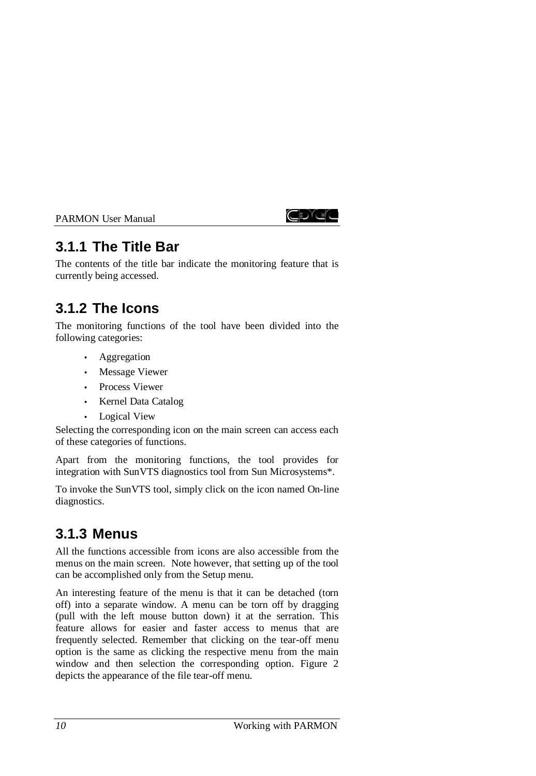

# **3.1.1 The Title Bar**

The contents of the title bar indicate the monitoring feature that is currently being accessed.

# **3.1.2 The Icons**

The monitoring functions of the tool have been divided into the following categories:

- Aggregation
- Message Viewer
- Process Viewer
- Kernel Data Catalog
- Logical View

Selecting the corresponding icon on the main screen can access each of these categories of functions.

Apart from the monitoring functions, the tool provides for integration with SunVTS diagnostics tool from Sun Microsystems\*.

To invoke the SunVTS tool, simply click on the icon named On-line diagnostics.

# **3.1.3 Menus**

All the functions accessible from icons are also accessible from the menus on the main screen. Note however, that setting up of the tool can be accomplished only from the Setup menu.

An interesting feature of the menu is that it can be detached (torn off) into a separate window. A menu can be torn off by dragging (pull with the left mouse button down) it at the serration. This feature allows for easier and faster access to menus that are frequently selected. Remember that clicking on the tear-off menu option is the same as clicking the respective menu from the main window and then selection the corresponding option. Figure 2 depicts the appearance of the file tear-off menu.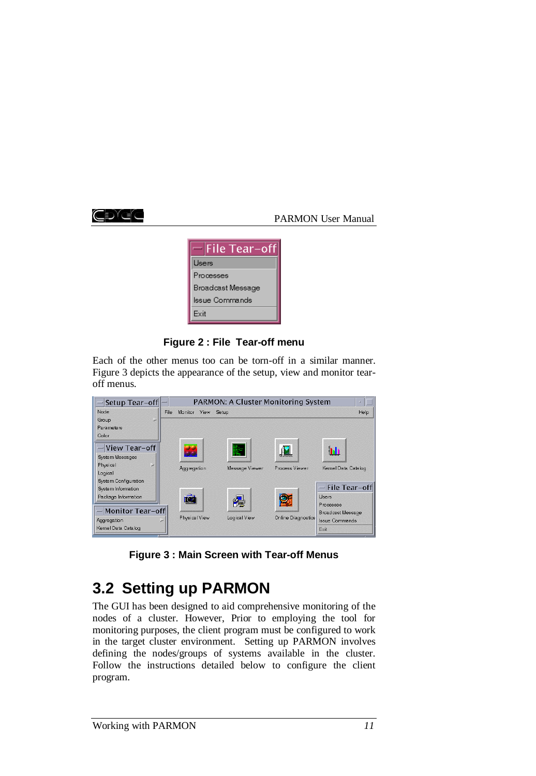



**Figure 2 : File Tear-off menu**

Each of the other menus too can be torn-off in a similar manner. Figure 3 depicts the appearance of the setup, view and monitor tearoff menus.

| File |                                                           |                                              | Help                                                                  |
|------|-----------------------------------------------------------|----------------------------------------------|-----------------------------------------------------------------------|
|      |                                                           |                                              |                                                                       |
|      |                                                           |                                              |                                                                       |
|      |                                                           |                                              |                                                                       |
|      |                                                           | <b>I</b>                                     |                                                                       |
|      |                                                           |                                              |                                                                       |
|      | Message Viewer                                            | Process Viewer                               | Kernel Data Catalog                                                   |
|      |                                                           |                                              |                                                                       |
|      |                                                           |                                              |                                                                       |
|      |                                                           |                                              | File Tear-off                                                         |
|      |                                                           |                                              | Lisers                                                                |
|      |                                                           |                                              | Processes                                                             |
|      |                                                           |                                              | <b>Broadcast Message</b>                                              |
|      |                                                           |                                              | <b>Issue Commands</b>                                                 |
|      |                                                           |                                              | Exit                                                                  |
|      | أهابك<br>Aggregation<br>Monitor Tear-off<br>Physical View | Monitor View Setup<br>摩<br>徥<br>Logical View | PARMON: A Cluster Monitoring System<br><b>P</b><br>Online Diagnostics |

**Figure 3 : Main Screen with Tear-off Menus**

# **3.2 Setting up PARMON**

The GUI has been designed to aid comprehensive monitoring of the nodes of a cluster. However, Prior to employing the tool for monitoring purposes, the client program must be configured to work in the target cluster environment. Setting up PARMON involves defining the nodes/groups of systems available in the cluster. Follow the instructions detailed below to configure the client program.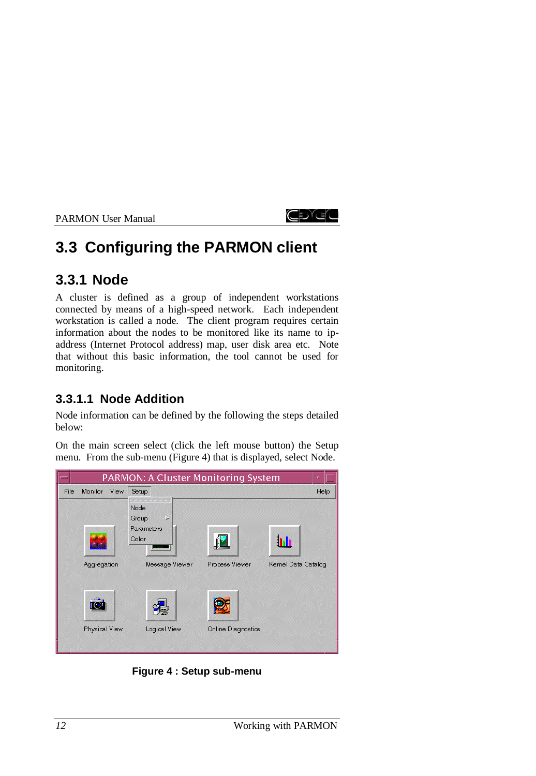

# **3.3 Configuring the PARMON client**

# **3.3.1 Node**

A cluster is defined as a group of independent workstations connected by means of a high-speed network. Each independent workstation is called a node. The client program requires certain information about the nodes to be monitored like its name to ipaddress (Internet Protocol address) map, user disk area etc. Note that without this basic information, the tool cannot be used for monitoring.

# **3.3.1.1 Node Addition**

Node information can be defined by the following the steps detailed below:

On the main screen select (click the left mouse button) the Setup menu. From the sub-menu (Figure 4) that is displayed, select Node.



**Figure 4 : Setup sub-menu**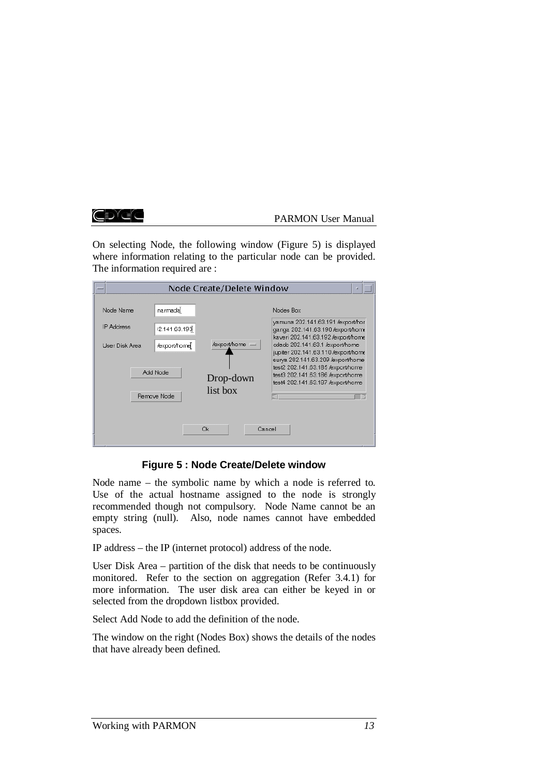#### CDYEC

#### PARMON User Manual

On selecting Node, the following window (Figure 5) is displayed where information relating to the particular node can be provided. The information required are :

|                                                                             | Node Create/Delete Window<br>п                                                      |                                                                                                                                                                                                                                                                                                                                                         |  |
|-----------------------------------------------------------------------------|-------------------------------------------------------------------------------------|---------------------------------------------------------------------------------------------------------------------------------------------------------------------------------------------------------------------------------------------------------------------------------------------------------------------------------------------------------|--|
| Node Name<br><b>IP Address</b><br>User Disk Area<br>Add Node<br>Remove Node | narmada<br>12.141.63.193<br>/export/home =<br>/export/home<br>Drop-down<br>list box | Nodes Box<br>yamuna 202.141.63.191 /export/hor<br>ganga 202.141.63.190 /export/home<br>kaveri 202.141.63.192 /export/home<br>edado 202.141.63.1 /export/home<br>jupiter 202.141.63.110 /export/home<br>surya 202.141.63.209 /export/home<br>test2 202.141.63.185 /export/home<br>test3 202.141.63.186 /export/home<br>test4 202.141.63.187 /export/home |  |
|                                                                             | Ok.                                                                                 | Cancel                                                                                                                                                                                                                                                                                                                                                  |  |

**Figure 5 : Node Create/Delete window**

Node name – the symbolic name by which a node is referred to. Use of the actual hostname assigned to the node is strongly recommended though not compulsory. Node Name cannot be an empty string (null). Also, node names cannot have embedded spaces.

IP address – the IP (internet protocol) address of the node.

User Disk Area – partition of the disk that needs to be continuously monitored. Refer to the section on aggregation (Refer 3.4.1) for more information. The user disk area can either be keyed in or selected from the dropdown listbox provided.

Select Add Node to add the definition of the node.

The window on the right (Nodes Box) shows the details of the nodes that have already been defined.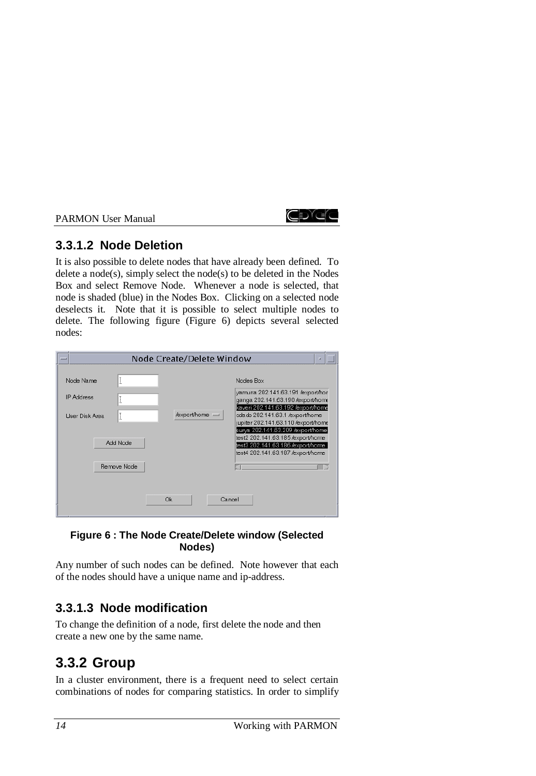# CDYCO

# **3.3.1.2 Node Deletion**

It is also possible to delete nodes that have already been defined. To delete a node $(s)$ , simply select the node $(s)$  to be deleted in the Nodes Box and select Remove Node. Whenever a node is selected, that node is shaded (blue) in the Nodes Box. Clicking on a selected node deselects it. Note that it is possible to select multiple nodes to delete. The following figure (Figure 6) depicts several selected nodes:

|                                                  | Node Create/Delete Window                                       | u                                                                                                                                                                                                                                                                                                                                                       |
|--------------------------------------------------|-----------------------------------------------------------------|---------------------------------------------------------------------------------------------------------------------------------------------------------------------------------------------------------------------------------------------------------------------------------------------------------------------------------------------------------|
| Node Name<br><b>IP Address</b><br>User Disk Area | Ĭ<br>ľ<br>ľ<br>/export/home =<br>Add Node<br><b>Bermye Node</b> | Nodes Box<br>yamuna 202.141.63.191 /export/hor<br>ganga 202.141.63.190 /export/home<br>kaveri 202.141.63.192 /export/home<br>edado 202.141.63.1 /export/home<br>jupiter 202.141.63.110 /export/home<br>surya 202.141.63.209 /export/home<br>test2 202.141.63.185 /export/home<br>test3 202.141.63.186 /export/home<br>test4 202.141.63.187 /export/home |
|                                                  | Ok                                                              | Cancel                                                                                                                                                                                                                                                                                                                                                  |

#### **Figure 6 : The Node Create/Delete window (Selected Nodes)**

Any number of such nodes can be defined. Note however that each of the nodes should have a unique name and ip-address.

# **3.3.1.3 Node modification**

To change the definition of a node, first delete the node and then create a new one by the same name.

# **3.3.2 Group**

In a cluster environment, there is a frequent need to select certain combinations of nodes for comparing statistics. In order to simplify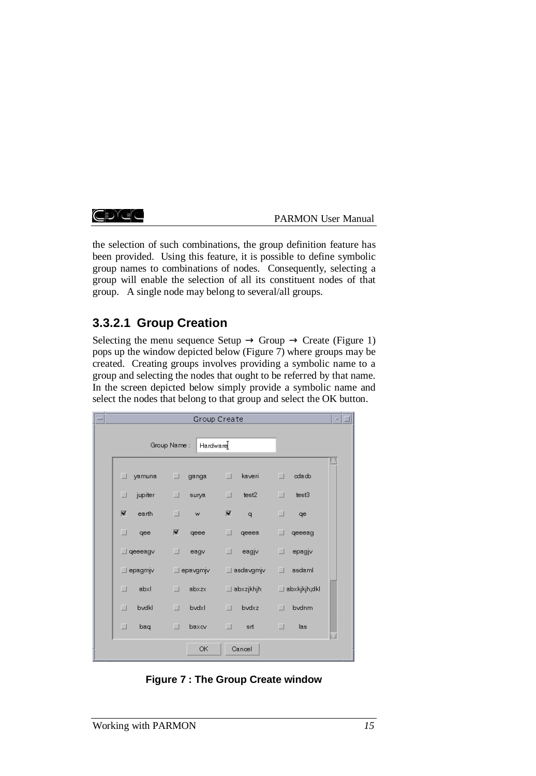#### CDIEC

#### PARMON User Manual

the selection of such combinations, the group definition feature has been provided. Using this feature, it is possible to define symbolic group names to combinations of nodes. Consequently, selecting a group will enable the selection of all its constituent nodes of that group. A single node may belong to several/all groups.

# **3.3.2.1 Group Creation**

Selecting the menu sequence Setup  $\rightarrow$  Group  $\rightarrow$  Create (Figure 1) pops up the window depicted below (Figure 7) where groups may be created. Creating groups involves providing a symbolic name to a group and selecting the nodes that ought to be referred by that name. In the screen depicted below simply provide a symbolic name and select the nodes that belong to that group and select the OK button.

| $=$ |                  |                         | Group Create     |                  | a, |
|-----|------------------|-------------------------|------------------|------------------|----|
|     |                  | Hardware<br>Group Name: |                  |                  |    |
|     | yamuna<br>$\Box$ | ⊔<br>ganga              | $\Box$<br>kaveri | ⊔<br>odado       |    |
|     | □<br>jupiter     | □<br>surya              | ⊔<br>test2       | □<br>test3       |    |
|     | M<br>earth       | $\Box$<br>w             | M<br>q           | □<br>qe          |    |
|     | □<br>qee         | ×<br>qeee               | $\Box$<br>qeeea  | □<br>qeeeag      |    |
|     | $\Box$ geeeagy   | □<br>eagv               | ⊔<br>eagjv       | ⊔<br>epagjv      |    |
|     | $\Box$ epagmjv   | $\Box$ epavgmjv         | $\Box$ asdavgmjv | asdaml<br>$\Box$ |    |
|     | $\Box$<br>abxl   | $\Box$<br>abxzx         | $\Box$ abxzjkhjh | □ abxkjkjh;dkl   |    |
|     | $\Box$<br>bvdkl  | $\Box$<br>bvdxl         | П<br>bvdxz       | bvdnm<br>П       |    |
|     | $\Box$<br>baq    | □<br>baxcv              | □<br>srt         | □<br>las         |    |
|     |                  | OK                      | Cancel           |                  |    |

**Figure 7 : The Group Create window**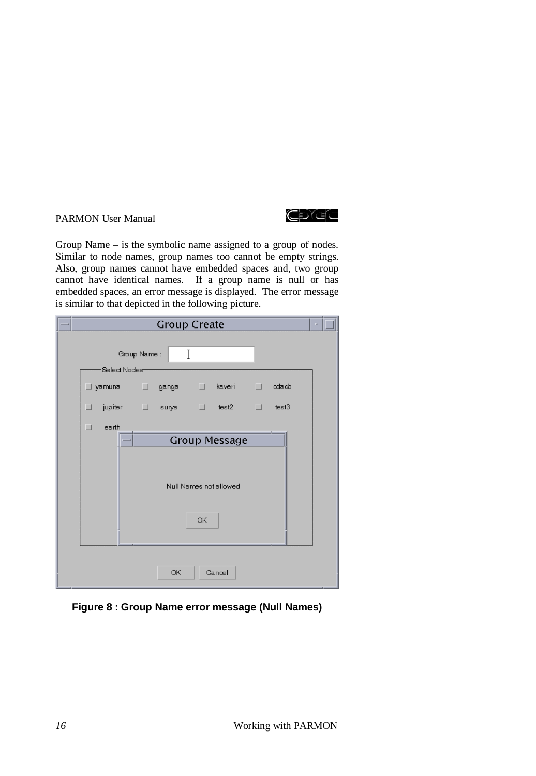

Group Name – is the symbolic name assigned to a group of nodes. Similar to node names, group names too cannot be empty strings. Also, group names cannot have embedded spaces and, two group cannot have identical names. If a group name is null or has embedded spaces, an error message is displayed. The error message is similar to that depicted in the following picture.

|  | <b>Group Create</b>                                               | u. |  |
|--|-------------------------------------------------------------------|----|--|
|  | T<br>Group Name:<br>Select Nodes-                                 |    |  |
|  | ∐yamuna ∐ ganga II kaveri II cdado                                |    |  |
|  | jupiter I surya I test2 I test3<br>┚                              |    |  |
|  | $\Box$<br>earth<br><b>Group Message</b><br>Null Names not allowed |    |  |
|  | ОK                                                                |    |  |
|  | ОК<br>Cancel                                                      |    |  |

**Figure 8 : Group Name error message (Null Names)**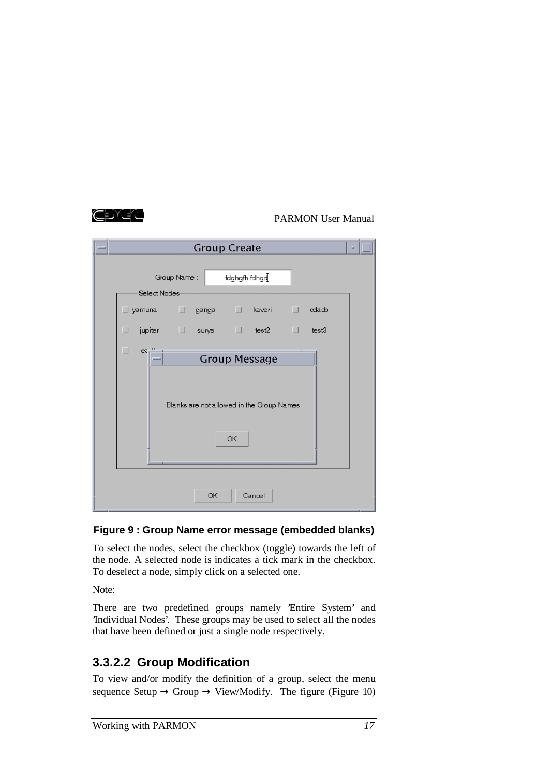|  | <b>Group Create</b><br>a                                 |  |  |  |
|--|----------------------------------------------------------|--|--|--|
|  | fdghgfh fdhga $I$<br>Group Name:                         |  |  |  |
|  | -Select Nodes-<br>∐iyamuna i ganga i kaveri i l<br>odacb |  |  |  |
|  | jupiter □ surya □ test2 →<br>$\Box$ test3<br>┚           |  |  |  |
|  | $\Box$<br>$ex^{\prime\prime}$<br><b>Group Message</b>    |  |  |  |
|  | Blanks are not allowed in the Group Names                |  |  |  |
|  | ОК                                                       |  |  |  |
|  |                                                          |  |  |  |
|  | ОК<br>Cancel                                             |  |  |  |

## **Figure 9 : Group Name error message (embedded blanks)**

To select the nodes, select the checkbox (toggle) towards the left of the node. A selected node is indicates a tick mark in the checkbox. To deselect a node, simply click on a selected one.

Note:

There are two predefined groups namely 'Entire System' and 'Individual Nodes'. These groups may be used to select all the nodes that have been defined or just a single node respectively.

# **3.3.2.2 Group Modification**

To view and/or modify the definition of a group, select the menu sequence Setup  $\rightarrow$  Group  $\rightarrow$  View/Modify. The figure (Figure 10)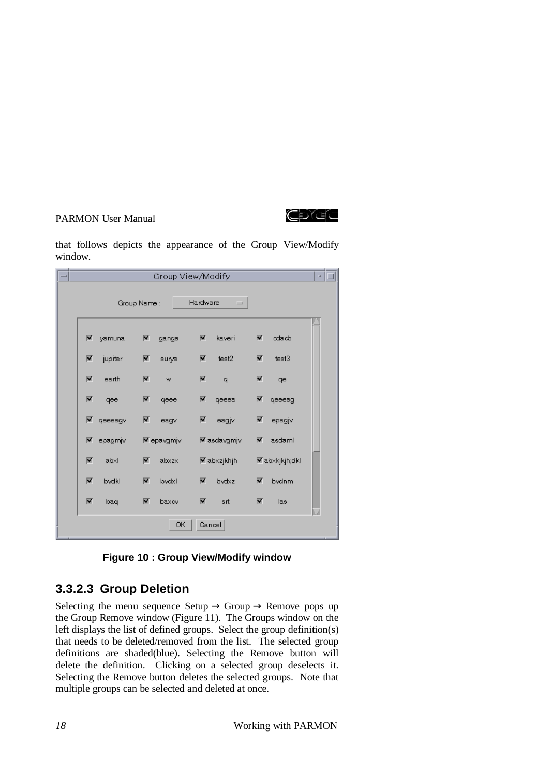

that follows depicts the appearance of the Group View/Modify window.

| $=$ |                                  | Group View/Modify                |                          |                       | a, |
|-----|----------------------------------|----------------------------------|--------------------------|-----------------------|----|
|     |                                  | Group Name:                      | Hardware<br>L.           |                       |    |
|     | 冨<br>yamuna                      | 図<br>ganga                       | M<br>kaveri              | M<br>odado            |    |
|     | $\blacksquare$<br>jupiter        | $\blacksquare$<br>surya          | M<br>test2               | M<br>test3            |    |
|     | $\overline{\mathbf{M}}$<br>earth | M<br>w                           | M<br>q                   | M<br>qe               |    |
|     | 圛<br>qee                         | ⊠<br>qeee                        | M<br>qeeea               | M<br>qeeeag           |    |
|     | $\blacksquare$<br>qeeeagv        | ×<br>eagv                        | V<br>eagjv               | ⊠<br>epagjv           |    |
|     | epagmjv<br>⊠                     | <b>▼</b> epavgmjv                | <b>▼</b> asdavgmjv       | ⊻<br>asdaml           |    |
|     | $\overline{\mathbf{M}}$<br>abxl  | $\overline{\mathbf{M}}$<br>abxzx | $\blacksquare$ abxzjkhjh | <b>▼</b> abxkjkjh;dkl |    |
|     | $\overline{\mathbf{M}}$<br>bvdkl | $\overline{\mathbf{M}}$<br>bvdxl | ▼<br>bvdxz               | ⊻<br>bydnm            |    |
|     | 圛<br>baq                         | 図<br>baxcv                       | V<br>srt                 | ▼<br>las              |    |
|     |                                  | ОК                               | Cancel                   |                       |    |

**Figure 10 : Group View/Modify window**

# **3.3.2.3 Group Deletion**

Selecting the menu sequence Setup  $\rightarrow$  Group  $\rightarrow$  Remove pops up the Group Remove window (Figure 11). The Groups window on the left displays the list of defined groups. Select the group definition(s) that needs to be deleted/removed from the list. The selected group definitions are shaded(blue). Selecting the Remove button will delete the definition. Clicking on a selected group deselects it. Selecting the Remove button deletes the selected groups. Note that multiple groups can be selected and deleted at once.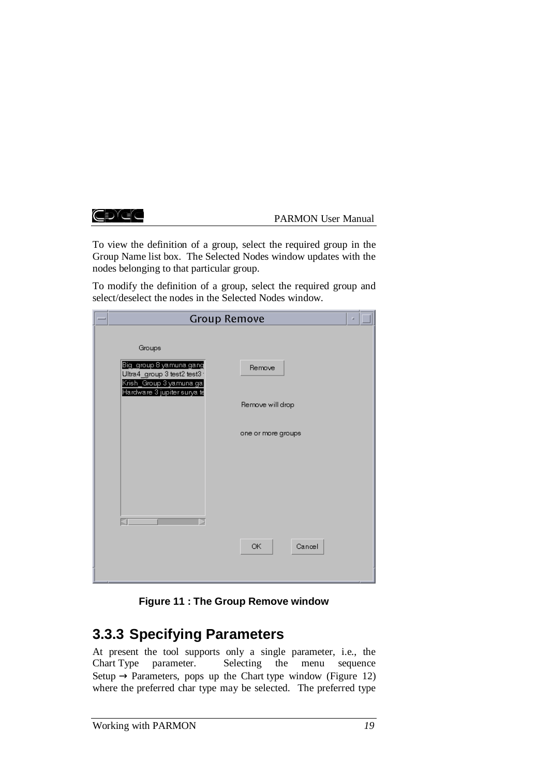CDYCC

PARMON User Manual

To view the definition of a group, select the required group in the Group Name list box. The Selected Nodes window updates with the nodes belonging to that particular group.

To modify the definition of a group, select the required group and select/deselect the nodes in the Selected Nodes window.

|  | <b>Group Remove</b>                                                                                                        | ш |  |
|--|----------------------------------------------------------------------------------------------------------------------------|---|--|
|  | Groups                                                                                                                     |   |  |
|  | Big_group 8 yamuna gang<br>Remove<br>Ultra4_group 3 test2 test3<br>Krish_Group 3 yamuna gal<br>Hardware 3 jupiter surya te |   |  |
|  | Remove will drop                                                                                                           |   |  |
|  | one or more groups                                                                                                         |   |  |
|  |                                                                                                                            |   |  |
|  |                                                                                                                            |   |  |
|  |                                                                                                                            |   |  |
|  | OK<br>Cancel                                                                                                               |   |  |
|  |                                                                                                                            |   |  |

**Figure 11 : The Group Remove window**

# **3.3.3 Specifying Parameters**

At present the tool supports only a single parameter, i.e., the Chart Type parameter. Selecting the menu sequence Setup  $\rightarrow$  Parameters, pops up the Chart type window (Figure 12) where the preferred char type may be selected. The preferred type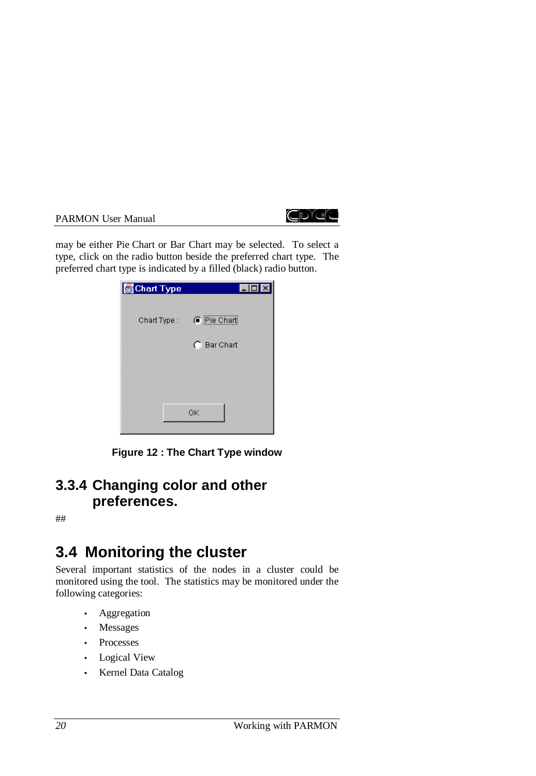

may be either Pie Chart or Bar Chart may be selected. To select a type, click on the radio button beside the preferred chart type. The preferred chart type is indicated by a filled (black) radio button.

| Chart Type  | FO          |
|-------------|-------------|
| Chart Type: | C Pie Chart |
|             | C Bar Chart |
|             |             |
|             |             |
|             | OK          |

**Figure 12 : The Chart Type window**

# **3.3.4 Changing color and other preferences.**

##

# **3.4 Monitoring the cluster**

Several important statistics of the nodes in a cluster could be monitored using the tool. The statistics may be monitored under the following categories:

- **Aggregation**
- Messages
- Processes
- Logical View
- Kernel Data Catalog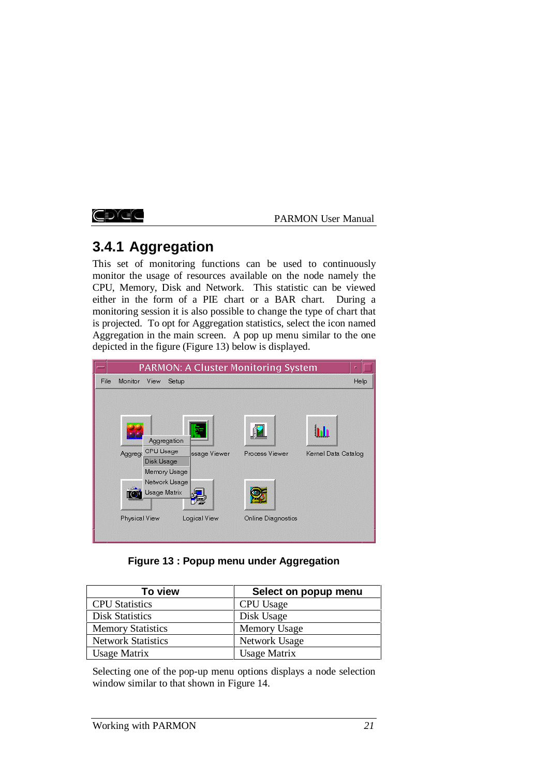CDYCC

PARMON User Manual

# **3.4.1 Aggregation**

This set of monitoring functions can be used to continuously monitor the usage of resources available on the node namely the CPU, Memory, Disk and Network. This statistic can be viewed either in the form of a PIE chart or a BAR chart. During a monitoring session it is also possible to change the type of chart that is projected. To opt for Aggregation statistics, select the icon named Aggregation in the main screen. A pop up menu similar to the one depicted in the figure (Figure 13) below is displayed.

|                                                                                                                                                  | PARMON: A Cluster Monitoring System                         |
|--------------------------------------------------------------------------------------------------------------------------------------------------|-------------------------------------------------------------|
| File<br>Monitor View<br>Setup                                                                                                                    | Help                                                        |
| Aggregation<br>Aggreg: CPU Usage<br>ssage Viewer<br>Disk Usage<br>Memory Usage<br>Network Usage<br>Usage Matrix<br>Physical View<br>Logical View | Process Viewer<br>Kernel Data Catalog<br>Online Diagnostics |

**Figure 13 : Popup menu under Aggregation**

| To view                   | Select on popup menu |
|---------------------------|----------------------|
| <b>CPU</b> Statistics     | CPU Usage            |
| <b>Disk Statistics</b>    | Disk Usage           |
| <b>Memory Statistics</b>  | <b>Memory Usage</b>  |
| <b>Network Statistics</b> | Network Usage        |
| <b>Usage Matrix</b>       | <b>Usage Matrix</b>  |

Selecting one of the pop-up menu options displays a node selection window similar to that shown in Figure 14.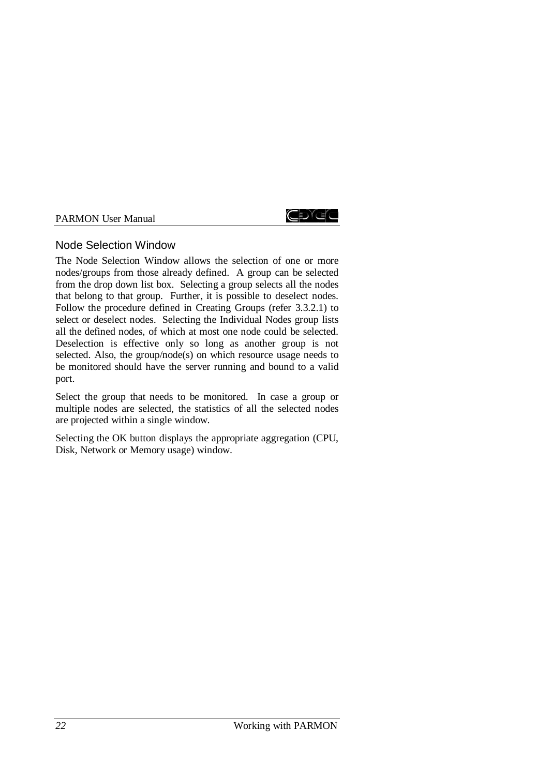

## Node Selection Window

The Node Selection Window allows the selection of one or more nodes/groups from those already defined. A group can be selected from the drop down list box. Selecting a group selects all the nodes that belong to that group. Further, it is possible to deselect nodes. Follow the procedure defined in Creating Groups (refer 3.3.2.1) to select or deselect nodes. Selecting the Individual Nodes group lists all the defined nodes, of which at most one node could be selected. Deselection is effective only so long as another group is not selected. Also, the group/node(s) on which resource usage needs to be monitored should have the server running and bound to a valid port.

Select the group that needs to be monitored. In case a group or multiple nodes are selected, the statistics of all the selected nodes are projected within a single window.

Selecting the OK button displays the appropriate aggregation (CPU, Disk, Network or Memory usage) window.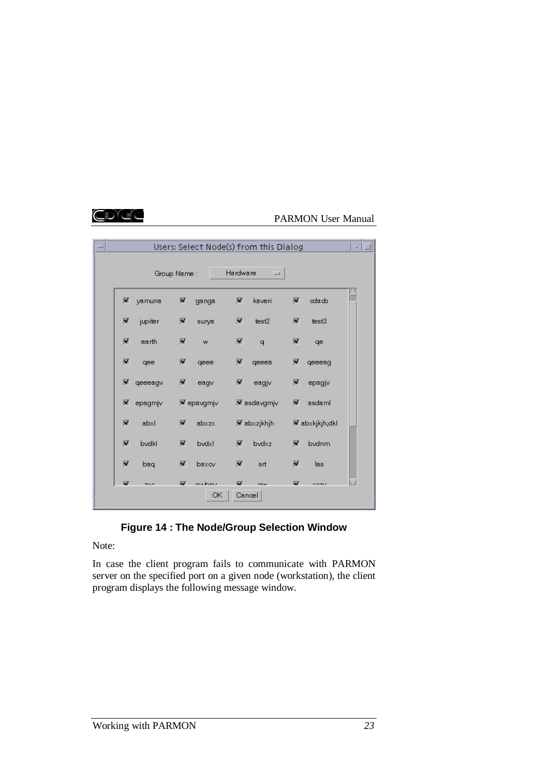## Cexea

## PARMON User Manual

| $=$ |                         |             |                | Users: Select Node(s) from this Dialog |                         |                      |          |                       | a. |
|-----|-------------------------|-------------|----------------|----------------------------------------|-------------------------|----------------------|----------|-----------------------|----|
|     |                         | Group Name: |                |                                        | Hardware                | $\equiv$             |          |                       |    |
|     | $\blacksquare$          | yamuna      | M              | ganga                                  | M                       | kaveri               | V        | oda.cb                |    |
|     | $\blacksquare$          | jupiter     | $\blacksquare$ | surya                                  | $\overline{\mathbf{v}}$ | test2                | ⊠        | test3                 |    |
|     | ▼                       | earth       | ▼              | W                                      | ⊠                       | q                    | 圛        | qe                    |    |
|     | ┳                       | qee         | 図              | qeee                                   | ▼                       | qeeea                | M        | qeeeag                |    |
|     | ┳                       | qeeeagv     | 圛              | eagy                                   | ⊻                       | eagjv                | M        | epagjv                |    |
|     | ⊻                       | epagmjv     |                | <b>⊠</b> epavgmjv                      |                         | <b>⊠</b> asdavgmjv   | M        | asdaml                |    |
|     | ₩                       | abxl        | ▼              | abxzx                                  |                         | <b>⊠</b> abxzjkhjh l |          | <b>▼</b> abxkjkjh;dkl |    |
|     | M                       | bvdkl       | ▼              | bvdxl                                  | ▼                       | bydxz                | ▼        | bydnm                 |    |
|     | $\overline{\mathbf{M}}$ | bag         | $\blacksquare$ | baxcv                                  | ⊽                       | srt                  | ॹ        | las                   |    |
|     | <b>M</b>                | $7\times 6$ | ब              | ashov<br>ОК                            | 厦<br>Cancel             | <b>CANAL</b>         | <b>M</b> | <b>MORM</b>           |    |

**Figure 14 : The Node/Group Selection Window**

Note:

In case the client program fails to communicate with PARMON server on the specified port on a given node (workstation), the client program displays the following message window.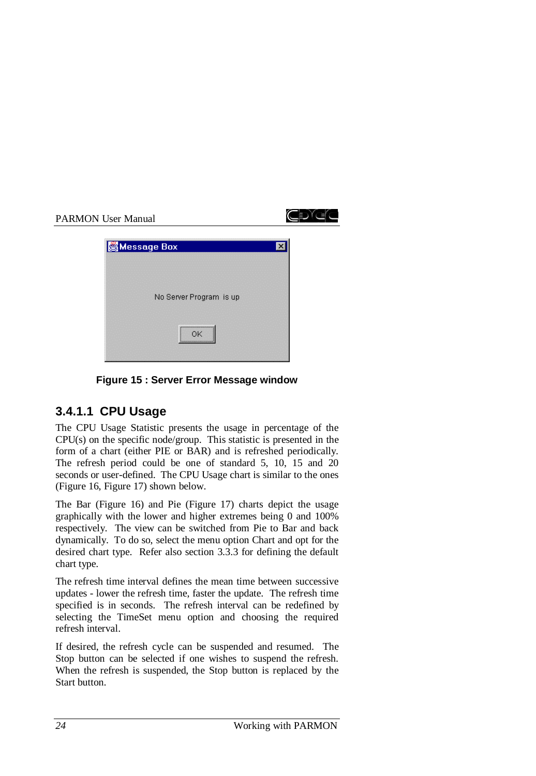

**Figure 15 : Server Error Message window**

# **3.4.1.1 CPU Usage**

The CPU Usage Statistic presents the usage in percentage of the CPU(s) on the specific node/group. This statistic is presented in the form of a chart (either PIE or BAR) and is refreshed periodically. The refresh period could be one of standard 5, 10, 15 and 20 seconds or user-defined. The CPU Usage chart is similar to the ones (Figure 16, Figure 17) shown below.

The Bar (Figure 16) and Pie (Figure 17) charts depict the usage graphically with the lower and higher extremes being 0 and 100% respectively. The view can be switched from Pie to Bar and back dynamically. To do so, select the menu option Chart and opt for the desired chart type. Refer also section 3.3.3 for defining the default chart type.

The refresh time interval defines the mean time between successive updates - lower the refresh time, faster the update. The refresh time specified is in seconds. The refresh interval can be redefined by selecting the TimeSet menu option and choosing the required refresh interval.

If desired, the refresh cycle can be suspended and resumed. The Stop button can be selected if one wishes to suspend the refresh. When the refresh is suspended, the Stop button is replaced by the Start button.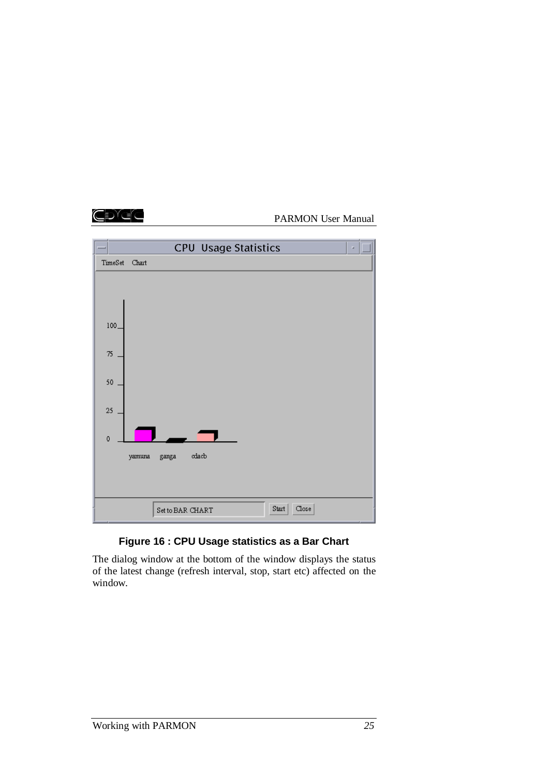



## **Figure 16 : CPU Usage statistics as a Bar Chart**

The dialog window at the bottom of the window displays the status of the latest change (refresh interval, stop, start etc) affected on the window.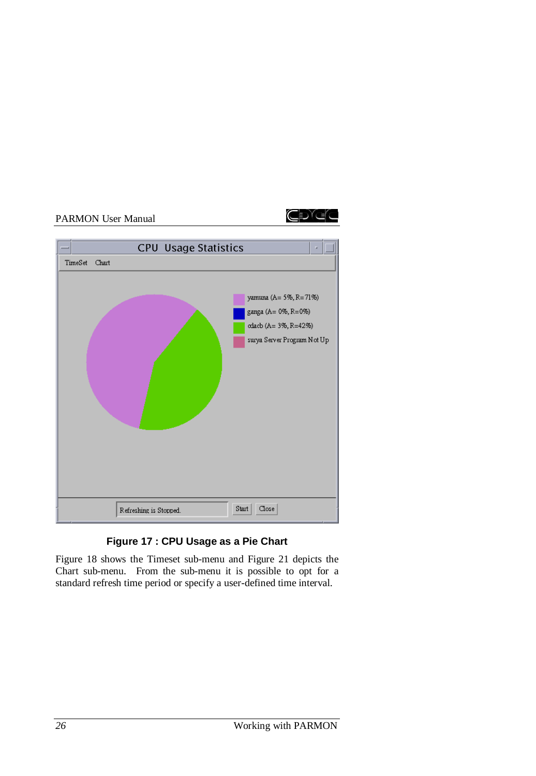CDYCO



# **Figure 17 : CPU Usage as a Pie Chart**

Figure 18 shows the Timeset sub-menu and Figure 21 depicts the Chart sub-menu. From the sub-menu it is possible to opt for a standard refresh time period or specify a user-defined time interval.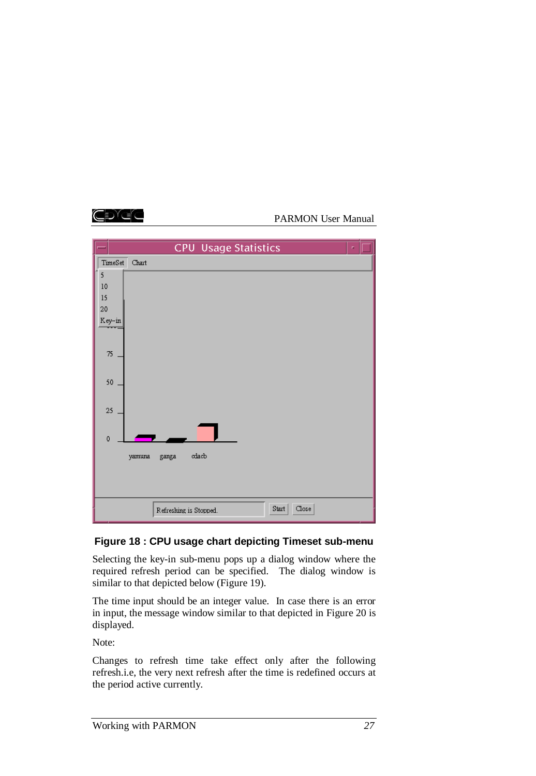



# **Figure 18 : CPU usage chart depicting Timeset sub-menu**

Selecting the key-in sub-menu pops up a dialog window where the required refresh period can be specified. The dialog window is similar to that depicted below (Figure 19).

The time input should be an integer value. In case there is an error in input, the message window similar to that depicted in Figure 20 is displayed.

Note:

Changes to refresh time take effect only after the following refresh.i.e, the very next refresh after the time is redefined occurs at the period active currently.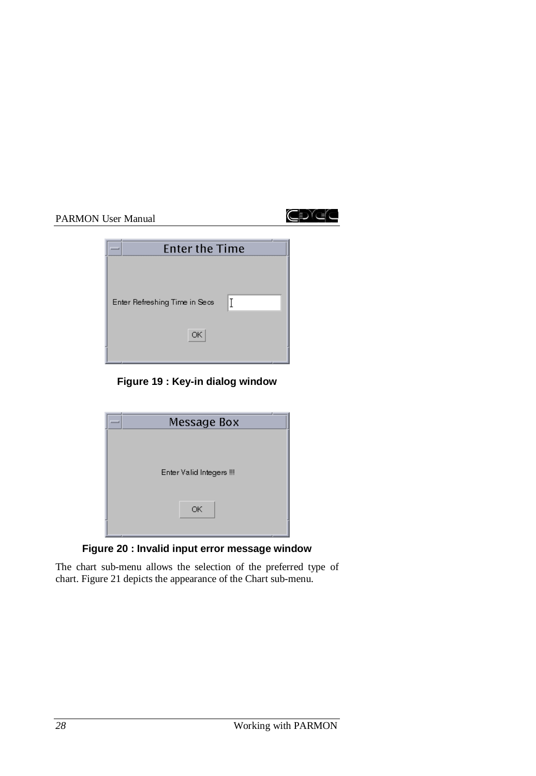

| <b>Enter the Time</b>              |  |
|------------------------------------|--|
| T<br>Enter Refreshing Time in Secs |  |
| ОК                                 |  |
|                                    |  |

# **Figure 19 : Key-in dialog window**

| Message Box              |  |
|--------------------------|--|
|                          |  |
|                          |  |
| Enter Valid Integers !!! |  |
|                          |  |
|                          |  |
| ОК                       |  |
|                          |  |

**Figure 20 : Invalid input error message window**

The chart sub-menu allows the selection of the preferred type of chart. Figure 21 depicts the appearance of the Chart sub-menu.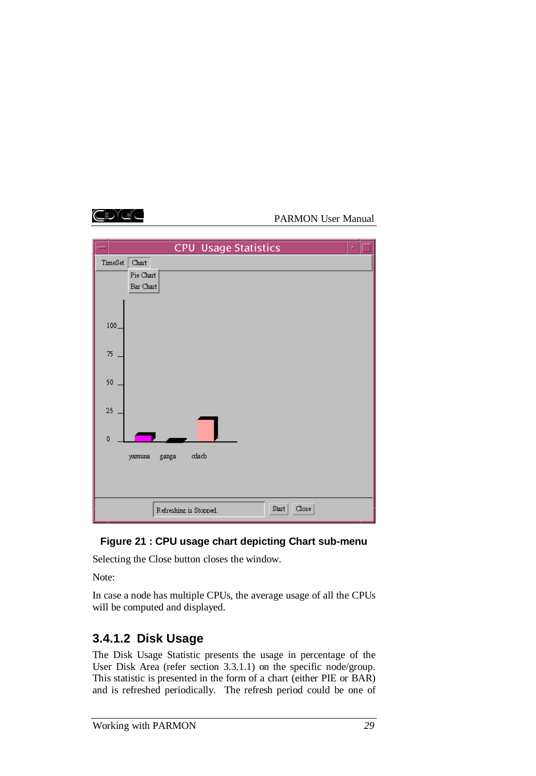



# **Figure 21 : CPU usage chart depicting Chart sub-menu**

Selecting the Close button closes the window.

Note:

In case a node has multiple CPUs, the average usage of all the CPUs will be computed and displayed.

# **3.4.1.2 Disk Usage**

The Disk Usage Statistic presents the usage in percentage of the User Disk Area (refer section 3.3.1.1) on the specific node/group. This statistic is presented in the form of a chart (either PIE or BAR) and is refreshed periodically. The refresh period could be one of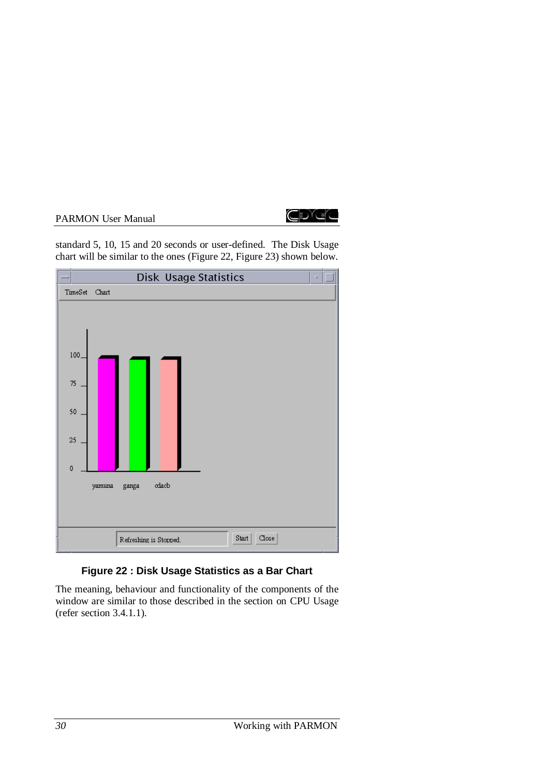

standard 5, 10, 15 and 20 seconds or user-defined. The Disk Usage chart will be similar to the ones (Figure 22, Figure 23) shown below.



# **Figure 22 : Disk Usage Statistics as a Bar Chart**

The meaning, behaviour and functionality of the components of the window are similar to those described in the section on CPU Usage (refer section 3.4.1.1).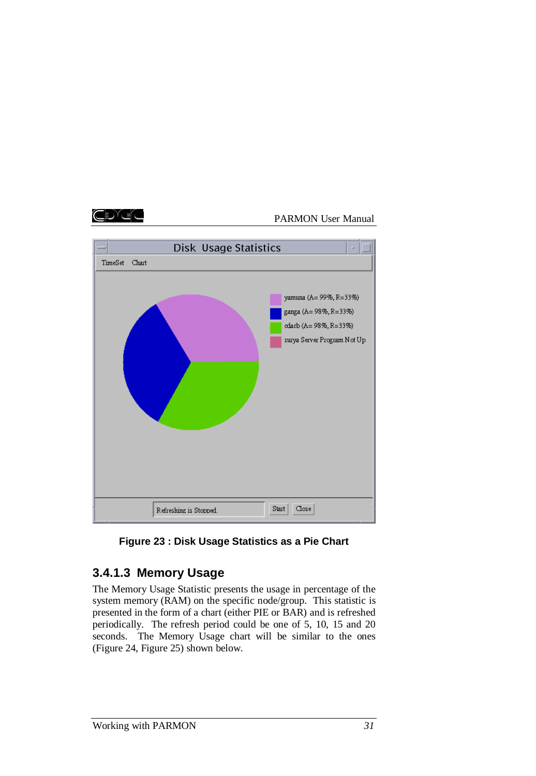





# **3.4.1.3 Memory Usage**

The Memory Usage Statistic presents the usage in percentage of the system memory (RAM) on the specific node/group. This statistic is presented in the form of a chart (either PIE or BAR) and is refreshed periodically. The refresh period could be one of 5, 10, 15 and 20 seconds. The Memory Usage chart will be similar to the ones (Figure 24, Figure 25) shown below.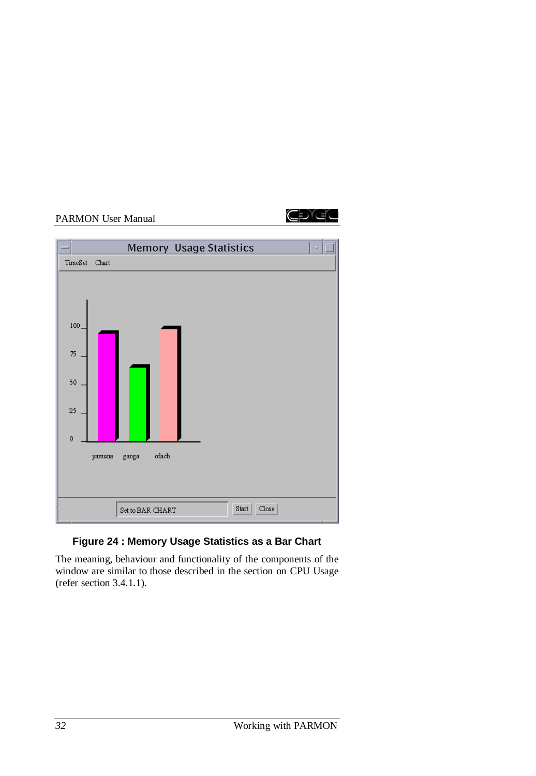



# **Figure 24 : Memory Usage Statistics as a Bar Chart**

The meaning, behaviour and functionality of the components of the window are similar to those described in the section on CPU Usage (refer section 3.4.1.1).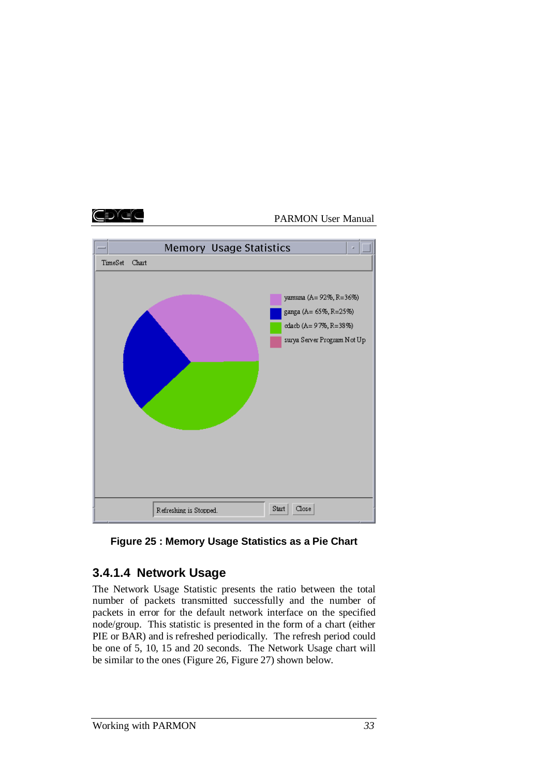



## **Figure 25 : Memory Usage Statistics as a Pie Chart**

# **3.4.1.4 Network Usage**

The Network Usage Statistic presents the ratio between the total number of packets transmitted successfully and the number of packets in error for the default network interface on the specified node/group. This statistic is presented in the form of a chart (either PIE or BAR) and is refreshed periodically. The refresh period could be one of 5, 10, 15 and 20 seconds. The Network Usage chart will be similar to the ones (Figure 26, Figure 27) shown below.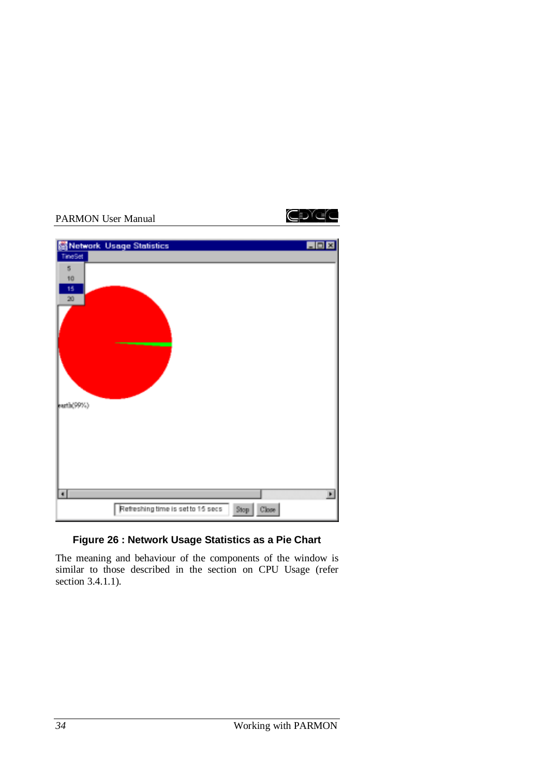

# **Figure 26 : Network Usage Statistics as a Pie Chart**

The meaning and behaviour of the components of the window is similar to those described in the section on CPU Usage (refer section 3.4.1.1).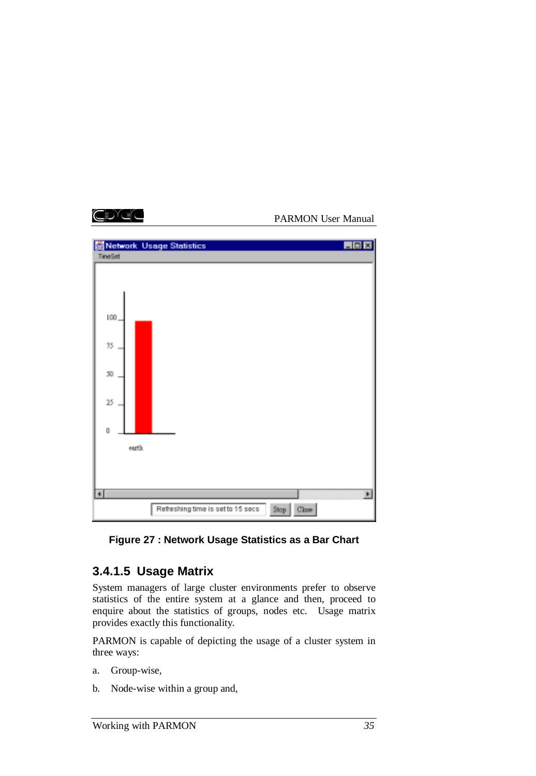

## **Figure 27 : Network Usage Statistics as a Bar Chart**

# **3.4.1.5 Usage Matrix**

System managers of large cluster environments prefer to observe statistics of the entire system at a glance and then, proceed to enquire about the statistics of groups, nodes etc. Usage matrix provides exactly this functionality.

PARMON is capable of depicting the usage of a cluster system in three ways:

- a. Group-wise,
- b. Node-wise within a group and,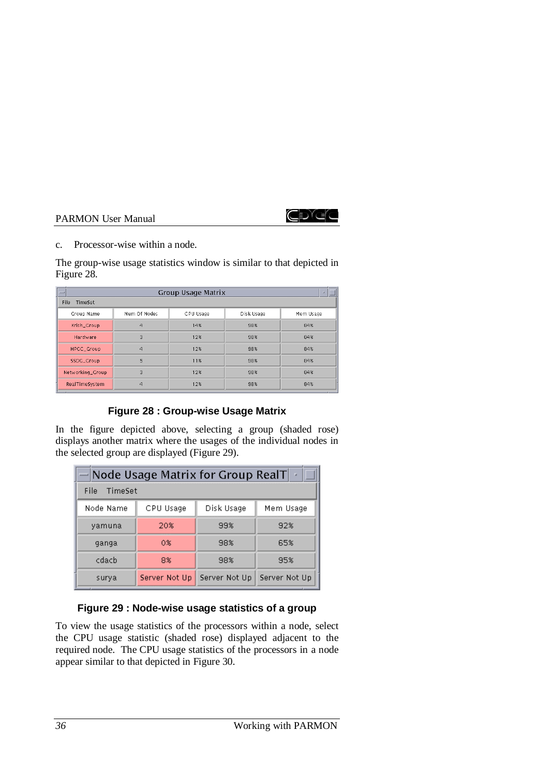

c. Processor-wise within a node.

The group-wise usage statistics window is similar to that depicted in Figure 28.

| <b>Service</b>   | Group Usage Matrix |           |            |           |  |  |  |
|------------------|--------------------|-----------|------------|-----------|--|--|--|
| File<br>TimeSet  |                    |           |            |           |  |  |  |
| Group Name       | Num Of Nodes       | CPU Usage | Disk Usage | Mem Usage |  |  |  |
| Krish_Group      | $\overline{a}$     | 14%       | 98%        | 84%       |  |  |  |
| Hardware         | 3                  | 12%       | 98%        | 84%       |  |  |  |
| HPCC_Group       | $\overline{a}$     | 12%       | 98%        | 84%       |  |  |  |
| SSDG_Group       | 5                  | 11%       | 98%        | 84%       |  |  |  |
| Networking_Group | 3                  | 12%       | 98%        | 84%       |  |  |  |
| RealTimeSystem   | 4                  | 12%       | 98%        | 84%       |  |  |  |

## **Figure 28 : Group-wise Usage Matrix**

In the figure depicted above, selecting a group (shaded rose) displays another matrix where the usages of the individual nodes in the selected group are displayed (Figure 29).

| $-$ Node Usage Matrix for Group RealT<br><b>Ca</b> |               |               |               |  |  |  |
|----------------------------------------------------|---------------|---------------|---------------|--|--|--|
| TimeSet<br>File                                    |               |               |               |  |  |  |
| Node Name                                          | CPU Usage     | Disk Usage    | Mem Usage     |  |  |  |
| yamuna                                             | 20%           | 99%           | 92%           |  |  |  |
| ganga                                              | 0%            | 98%           | 65%           |  |  |  |
| cdach                                              | 8%            | 98%           | 95%           |  |  |  |
| surya                                              | Server Not Up | Server Not Up | Server Not Up |  |  |  |

# **Figure 29 : Node-wise usage statistics of a group**

To view the usage statistics of the processors within a node, select the CPU usage statistic (shaded rose) displayed adjacent to the required node. The CPU usage statistics of the processors in a node appear similar to that depicted in Figure 30.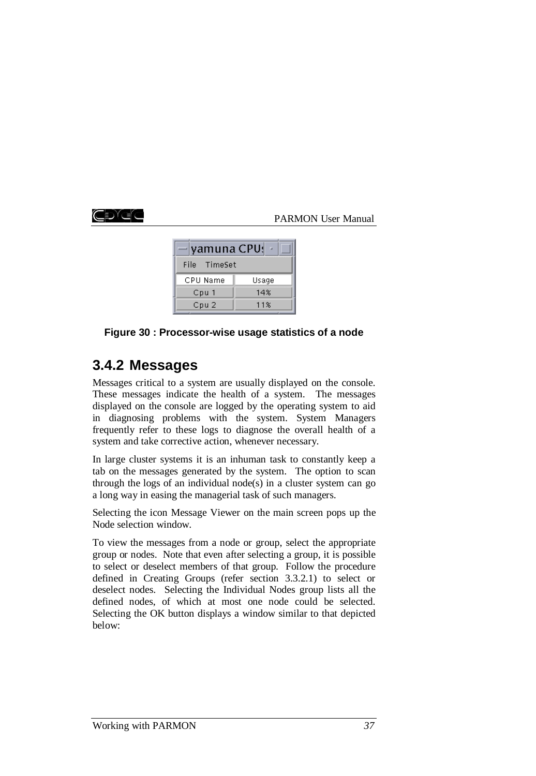# EXEC

### PARMON User Manual

| — yamuna CPU! ~ |       |
|-----------------|-------|
| File TimeSet    |       |
| CPU Name        | Usage |
| Cpu 1           | 14%   |
| Cpu 2           | 11%   |

### **Figure 30 : Processor-wise usage statistics of a node**

# **3.4.2 Messages**

Messages critical to a system are usually displayed on the console. These messages indicate the health of a system. The messages displayed on the console are logged by the operating system to aid in diagnosing problems with the system. System Managers frequently refer to these logs to diagnose the overall health of a system and take corrective action, whenever necessary.

In large cluster systems it is an inhuman task to constantly keep a tab on the messages generated by the system. The option to scan through the logs of an individual node(s) in a cluster system can go a long way in easing the managerial task of such managers.

Selecting the icon Message Viewer on the main screen pops up the Node selection window.

To view the messages from a node or group, select the appropriate group or nodes. Note that even after selecting a group, it is possible to select or deselect members of that group. Follow the procedure defined in Creating Groups (refer section 3.3.2.1) to select or deselect nodes. Selecting the Individual Nodes group lists all the defined nodes, of which at most one node could be selected. Selecting the OK button displays a window similar to that depicted below: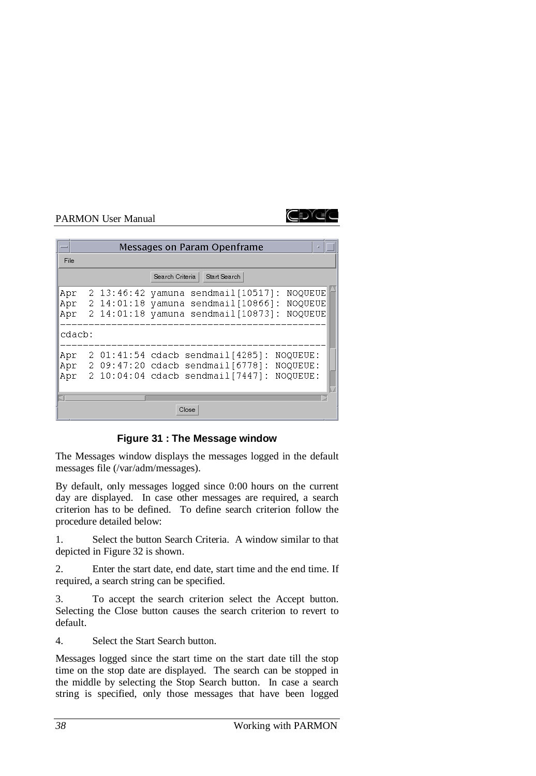

|                   |                                              | Messages on Param Openframe<br>п                                                                                                                   |
|-------------------|----------------------------------------------|----------------------------------------------------------------------------------------------------------------------------------------------------|
| File              |                                              |                                                                                                                                                    |
|                   |                                              | Search Criteria<br>Start Search                                                                                                                    |
| Apr<br>Apr<br>Apr | $2\;13:46:42$<br>$2\;14:01:18$<br>2 14:01:18 | <b>NOQUEUE</b><br>sendmail[10517]:<br>yamuna<br>$sendmail[10866]$ :<br><b>NOQUEUE</b><br>yamuna<br>$sendmail[10873]$ :<br><b>NOOUEUE</b><br>yamuna |
| cdacb:            |                                              |                                                                                                                                                    |
| Apr<br>Apr<br>Apr |                                              | 2 01:41:54 cdacb sendmail[4285]:<br>NOQUEUE:<br>2 09:47:20 cdacb sendmail [6778]:<br>NOQUEUE:<br>2 10:04:04 cdacb sendmail [7447]:<br>NOQUEUE:     |
|                   |                                              | Close                                                                                                                                              |

## **Figure 31 : The Message window**

The Messages window displays the messages logged in the default messages file (/var/adm/messages).

By default, only messages logged since 0:00 hours on the current day are displayed. In case other messages are required, a search criterion has to be defined. To define search criterion follow the procedure detailed below:

1. Select the button Search Criteria. A window similar to that depicted in Figure 32 is shown.

2. Enter the start date, end date, start time and the end time. If required, a search string can be specified.

3. To accept the search criterion select the Accept button. Selecting the Close button causes the search criterion to revert to default.

4. Select the Start Search button.

Messages logged since the start time on the start date till the stop time on the stop date are displayed. The search can be stopped in the middle by selecting the Stop Search button. In case a search string is specified, only those messages that have been logged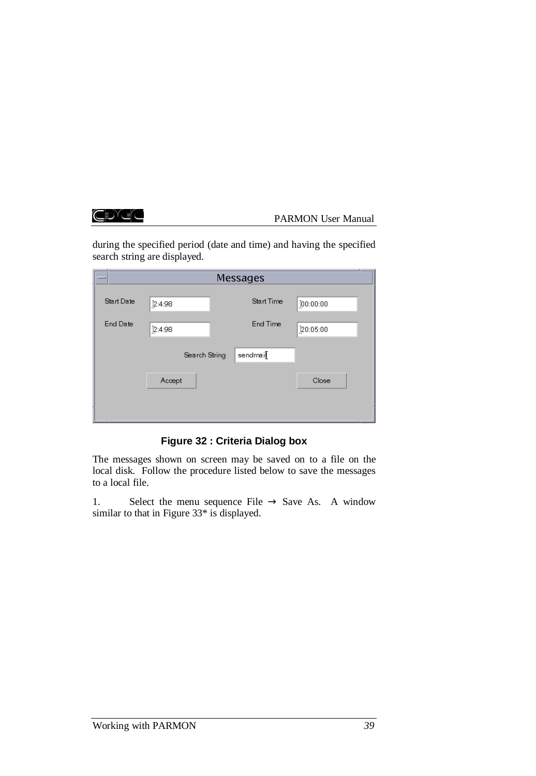CDGC

#### PARMON User Manual

during the specified period (date and time) and having the specified search string are displayed.

| $\equiv$        | Messages      |            |          |  |  |  |
|-----------------|---------------|------------|----------|--|--|--|
| Start Date      | 2:4:98        | Start Time | 00:00:00 |  |  |  |
| <b>End Date</b> | 2:4:98        | End Time   | 20:05:00 |  |  |  |
|                 | Search String | sendmail   |          |  |  |  |
|                 | Accept        |            | Close    |  |  |  |
|                 |               |            |          |  |  |  |

**Figure 32 : Criteria Dialog box**

The messages shown on screen may be saved on to a file on the local disk. Follow the procedure listed below to save the messages to a local file.

1. Select the menu sequence File  $\rightarrow$  Save As. A window similar to that in Figure 33\* is displayed.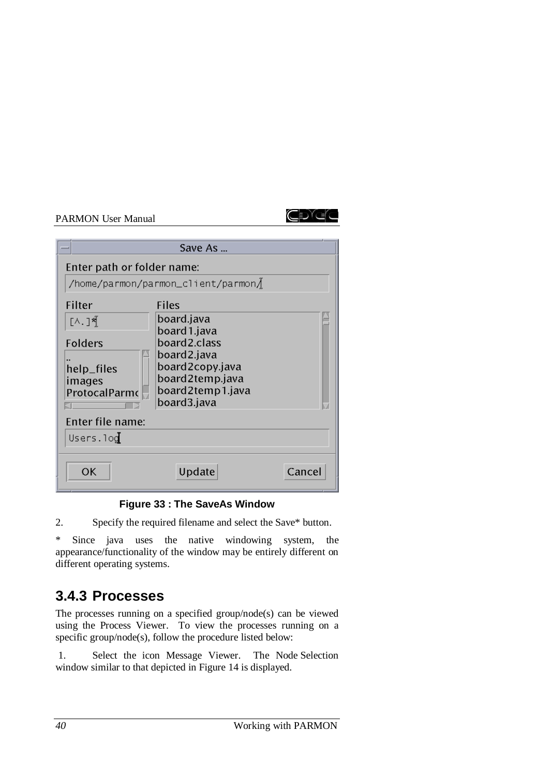

|                                                           | Save As                                                                   |        |
|-----------------------------------------------------------|---------------------------------------------------------------------------|--------|
| Enter path or folder name:                                | /home/parmon/parmon_client/parmon/                                        |        |
| Filter<br>[∧.]∛{้<br>Folders                              | <b>Files</b><br>board.java<br>board 1.java<br>board2.class<br>board2.java |        |
| help_files<br>images<br>ProtocalParmo<br>Enter file name: | board2copy.java<br>board2temp.java<br>board2temp1.java<br>board3.java     |        |
| Users.log<br>OK                                           | Update                                                                    | Cancel |

**Figure 33 : The SaveAs Window**

2. Specify the required filename and select the Save\* button.

\* Since java uses the native windowing system, the appearance/functionality of the window may be entirely different on different operating systems.

# **3.4.3 Processes**

The processes running on a specified group/node(s) can be viewed using the Process Viewer. To view the processes running on a specific group/node(s), follow the procedure listed below:

 1. Select the icon Message Viewer. The Node Selection window similar to that depicted in Figure 14 is displayed.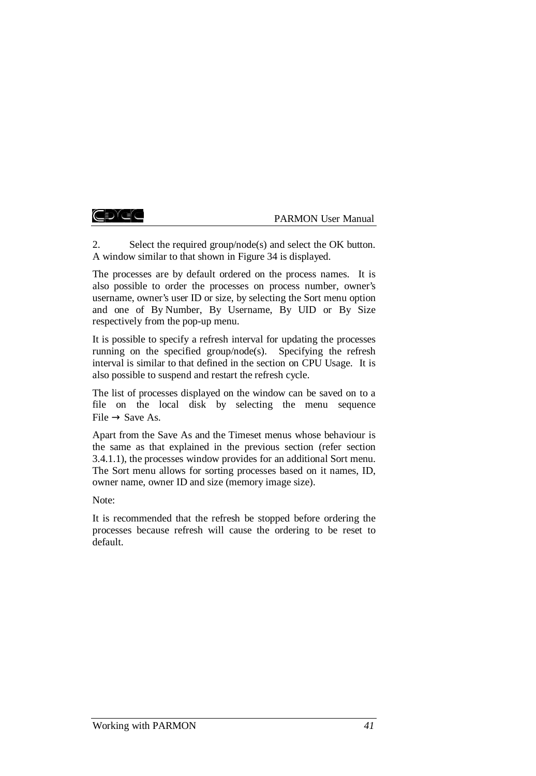#### ŒDĭC

#### PARMON User Manual

2. Select the required group/node(s) and select the OK button. A window similar to that shown in Figure 34 is displayed.

The processes are by default ordered on the process names. It is also possible to order the processes on process number, owner's username, owner's user ID or size, by selecting the Sort menu option and one of By Number, By Username, By UID or By Size respectively from the pop-up menu.

It is possible to specify a refresh interval for updating the processes running on the specified group/node(s). Specifying the refresh interval is similar to that defined in the section on CPU Usage. It is also possible to suspend and restart the refresh cycle.

The list of processes displayed on the window can be saved on to a file on the local disk by selecting the menu sequence  $File \rightarrow Save As.$ 

Apart from the Save As and the Timeset menus whose behaviour is the same as that explained in the previous section (refer section 3.4.1.1), the processes window provides for an additional Sort menu. The Sort menu allows for sorting processes based on it names, ID, owner name, owner ID and size (memory image size).

Note:

It is recommended that the refresh be stopped before ordering the processes because refresh will cause the ordering to be reset to default.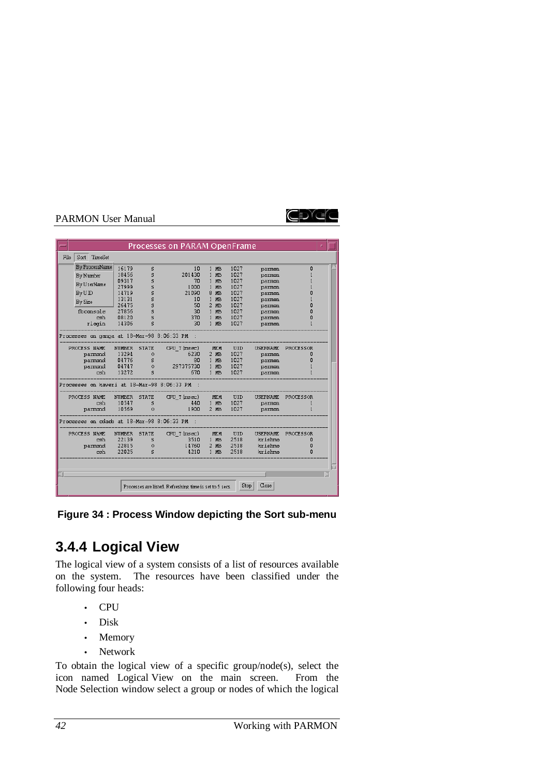

|      |           |                |                |              | Processes on PARAM OpenFrame                            |                           |              |                  |           |  |
|------|-----------|----------------|----------------|--------------|---------------------------------------------------------|---------------------------|--------------|------------------|-----------|--|
| File | Sort      | <b>TimeSet</b> |                |              |                                                         |                           |              |                  |           |  |
|      |           | By ProcessName | 16179          | s            | 10                                                      | $1$ I <sub>I</sub> B      | 1027         | parmon           | 0         |  |
|      | By Number |                | 18456          | s            | 201430                                                  | $1$ $IB$                  | 1027         | parmon           |           |  |
|      |           | By UserName    | 09317          | s            | 70                                                      | MB.<br>$\mathbf{1}$       | 1027         | parmon           |           |  |
|      |           |                | 27999          | s            | 1000                                                    | $\mathbf{1}$<br><b>NB</b> | 1027         | parmon           |           |  |
|      | By UID    |                | 14719          | s            | 21090                                                   | 8 IB                      | 1027         | parmon           | n         |  |
|      | By Size   |                | 13131<br>26475 | s<br>s       | 10<br>50                                                | $1$ $IB$<br>$2$ $IB$      | 1027<br>1027 | parmon           | O         |  |
|      |           | fbconsole      | 27856          | s            | 30                                                      | IID<br>$\mathbf{1}$       | 1027         | parmon<br>parmon | O         |  |
|      |           | csh            | 08120          | s            | 370                                                     | $1$ $MB$                  | 1027         | parmon           | O         |  |
|      |           | rlogin         | 14306          | s            | 30                                                      | 1 IB                      | 1027         | parmon           |           |  |
|      |           |                |                |              | Processes on ganga at 18-Mar-98 8:06:33 PM              |                           |              |                  |           |  |
|      |           | PROCESS NAME   | <b>NUMBER</b>  | <b>STATE</b> | CPU T (msec)                                            | IEII                      | UID          | <b>USERNAME</b>  | PROCESSOR |  |
|      |           | parmond        | 13294          | $\Omega$     | 6230                                                    | $2$ $MB$                  | 1027         | parmon           | O         |  |
|      |           | parmond        | 04776          | s            | 80                                                      | $1$ $IB$                  | 1027         | parmon           | ۵         |  |
|      |           | parmond        | 04747          | $\circ$      | 297375730                                               | $1$ $MB$                  | 1027         | parmon           |           |  |
|      |           | csh            | 13272          | s            | 670                                                     | $1$ $\text{IB}$           | 1027         | parmon           |           |  |
|      |           |                |                |              | Processes on kaveri at 18-Mar-98 8:06:33 PM             |                           |              |                  |           |  |
|      |           | PROCESS NAME   | <b>NUMBER</b>  | <b>STATE</b> | CPU T (msec)                                            | IEII                      | UID          | <b>USERNAME</b>  | PROCESSOR |  |
|      |           | csh            | 10547          | s            | 440                                                     | 1 MB                      | 1027         | parmon           |           |  |
|      |           | parmond        | 10569          | $\circ$      | 1900                                                    | $2$ $IB$                  | 1027         | parmon           |           |  |
|      |           |                |                |              | Processes on cdacb at 18-Mar-98 8:06:33 PM              |                           |              |                  |           |  |
|      |           | PROCESS NAME   | <b>NUMBER</b>  | <b>STATE</b> | CPU T (msec)                                            | <b>IEII</b>               | UID          | <b>USERNAME</b>  | PROCESSOR |  |
|      |           | csh            | 22139          | s            | 3510                                                    | $1$ $MB$                  | 2518         | krishmo          | 0         |  |
|      |           | parmond        | 22815          | $\circ$      | 14760                                                   | $2$ $MB$                  | 2518         | krishmo          | 0         |  |
|      |           | csh            | 22025          | s            | 4210                                                    | $1$ $\text{IB}$           | 2518         | krishmo          | $\Omega$  |  |
|      |           |                |                |              |                                                         |                           |              |                  |           |  |
|      |           |                |                |              |                                                         |                           |              |                  |           |  |
|      |           |                |                |              | Processes are listed. Refreshing time is set to 5 secs. |                           | Stop         | Close            |           |  |

**Figure 34 : Process Window depicting the Sort sub-menu**

# **3.4.4 Logical View**

The logical view of a system consists of a list of resources available on the system. The resources have been classified under the following four heads:

- CPU
- Disk
- Memory
- Network

To obtain the logical view of a specific group/node(s), select the icon named Logical View on the main screen. From the Node Selection window select a group or nodes of which the logical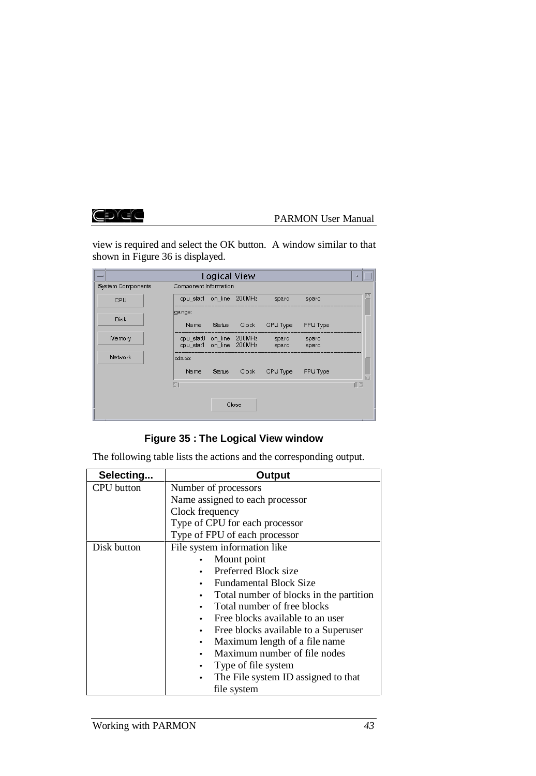# CDGG

## PARMON User Manual

view is required and select the OK button. A window similar to that shown in Figure 36 is displayed.

|                   |                                                      | Logical View |       |                |                | u. |
|-------------------|------------------------------------------------------|--------------|-------|----------------|----------------|----|
| System Components | Component Information                                |              |       |                |                |    |
| CPU               | opu stat1 on line 200MHz                             |              |       | sparc          | sparc          |    |
| Disk              | ganga:                                               |              |       |                |                |    |
|                   |                                                      | Name Status  | Clock | CPU Type       | FPU Type       |    |
| Memory            | opu stat0 on line 200MHz<br>cpu stat1 on line 200MHz |              |       | sparc<br>sparc | sparc<br>sparc |    |
| Network           | oda.cb:                                              |              |       |                |                |    |
|                   | Name.                                                | Status       | Clock | CPU Type       | FPU Type       |    |
|                   |                                                      |              |       |                |                |    |
|                   |                                                      |              | Close |                |                |    |

# **Figure 35 : The Logical View window**

The following table lists the actions and the corresponding output.

| Selecting         | Output                                  |  |  |  |  |
|-------------------|-----------------------------------------|--|--|--|--|
| <b>CPU</b> button | Number of processors                    |  |  |  |  |
|                   | Name assigned to each processor         |  |  |  |  |
|                   | Clock frequency                         |  |  |  |  |
|                   | Type of CPU for each processor          |  |  |  |  |
|                   | Type of FPU of each processor           |  |  |  |  |
| Disk button       | File system information like            |  |  |  |  |
|                   | Mount point                             |  |  |  |  |
|                   | Preferred Block size                    |  |  |  |  |
|                   | <b>Fundamental Block Size</b>           |  |  |  |  |
|                   | Total number of blocks in the partition |  |  |  |  |
|                   | Total number of free blocks             |  |  |  |  |
|                   | Free blocks available to an user        |  |  |  |  |
|                   | Free blocks available to a Superuser    |  |  |  |  |
|                   | Maximum length of a file name           |  |  |  |  |
|                   | Maximum number of file nodes            |  |  |  |  |
|                   | Type of file system                     |  |  |  |  |
|                   | The File system ID assigned to that     |  |  |  |  |
|                   | file system                             |  |  |  |  |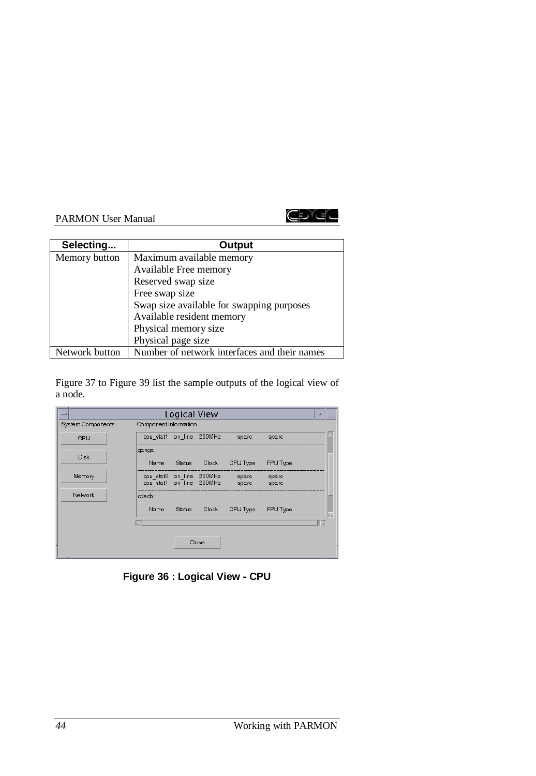

| Selecting      | Output                                       |
|----------------|----------------------------------------------|
| Memory button  | Maximum available memory                     |
|                | Available Free memory                        |
|                | Reserved swap size                           |
|                | Free swap size                               |
|                | Swap size available for swapping purposes    |
|                | Available resident memory                    |
|                | Physical memory size                         |
|                | Physical page size                           |
| Network button | Number of network interfaces and their names |

Figure 37 to Figure 39 list the sample outputs of the logical view of a node.

|                   |                          | Logical View  |                          |                |                | u |  |
|-------------------|--------------------------|---------------|--------------------------|----------------|----------------|---|--|
| System Components | Component Information    |               |                          |                |                |   |  |
| CPU               | cpu_stat1 on_line 200MHz |               |                          | sparc          | sparc          |   |  |
|                   | ganga:                   |               |                          |                |                |   |  |
| Disk              | Name                     | Status        | Clock                    | CPU Type       | FPU Type       |   |  |
| Memory            | opu stat1 on line 200MHz |               | opu stat0 on line 200MHz | sparc<br>sparc | sparc<br>sparc |   |  |
| <b>Network</b>    | oda.cb:                  |               |                          |                |                |   |  |
|                   | Name                     | <b>Status</b> | Clock                    | CPU Type       | FPU Type       |   |  |
|                   |                          |               |                          |                |                |   |  |
|                   |                          |               | Close                    |                |                |   |  |

**Figure 36 : Logical View - CPU**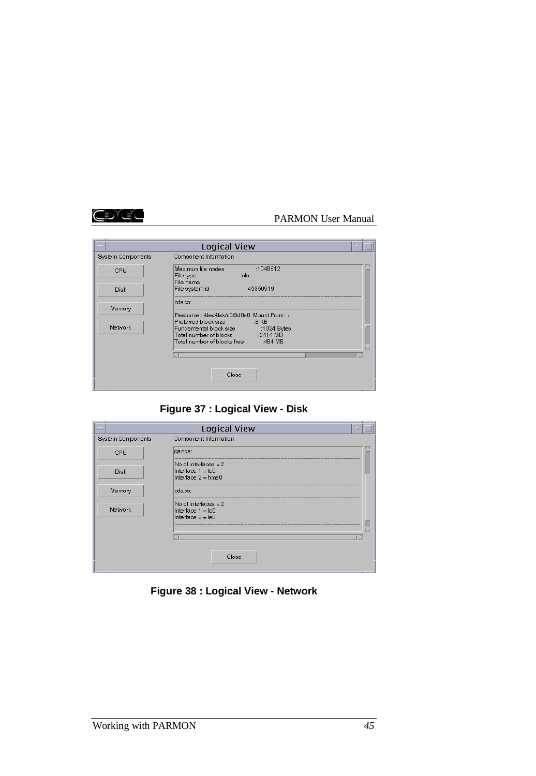

|                   | Logical View                                                                                                  |
|-------------------|---------------------------------------------------------------------------------------------------------------|
| System Components | Component Information                                                                                         |
| CPU               | Maximun file nodes<br>:1048512<br>File type<br>∷nfs<br>File name                                              |
| <b>Disk</b>       | File system id<br>:45350919                                                                                   |
| Memory            | oda.do:<br>Resource: /dev/dsk/c0t3d0s0_Mount Point: /<br>Preferred block size 3 KB                            |
| Network           | Fundamental block size :1024 Bytes<br>Total number of blocks [2414 MB]<br>Total number of blocks free 3484 MB |
|                   | Close                                                                                                         |
|                   |                                                                                                               |

# **Figure 37 : Logical View - Disk**

| -                 | Logical View                                                              |
|-------------------|---------------------------------------------------------------------------|
| System Components | Component Information                                                     |
| CPU               | ganga:                                                                    |
| Disk              | No of interfaces $= 2$<br>Interface $1 = 100$<br>Interface $2 = h$ me $0$ |
| Memory            | eda do:                                                                   |
| Network           | No of interfaces $= 2$<br>Interface $1 = 100$<br>Interface $2 = 160$      |
|                   |                                                                           |
|                   | Close                                                                     |

**Figure 38 : Logical View - Network**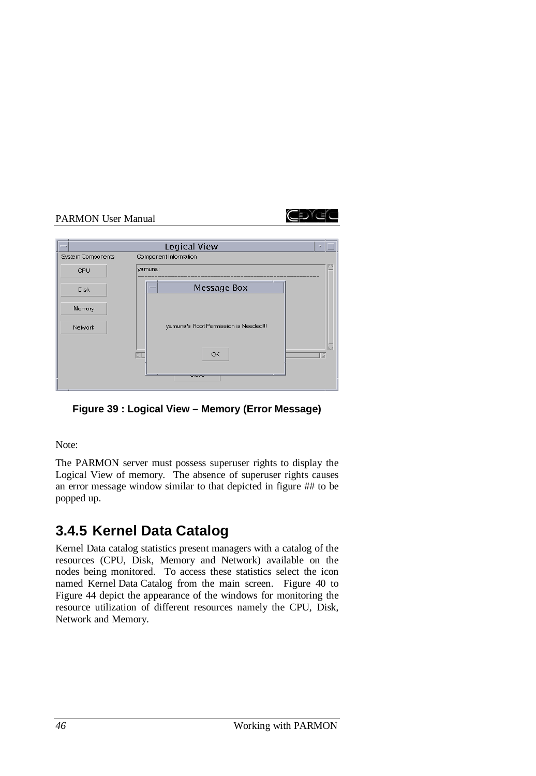

|                   | Logical View                          | × |
|-------------------|---------------------------------------|---|
| System Components | Component Information                 |   |
| CPU               | yamuna:                               |   |
| <b>Disk</b>       | Message Box                           |   |
| Memory            |                                       |   |
| Network           | yamuna's Root Permission is Needed!!! |   |
|                   | OK<br>KI.                             |   |
|                   | ----                                  |   |

**Figure 39 : Logical View – Memory (Error Message)**

Note:

The PARMON server must possess superuser rights to display the Logical View of memory. The absence of superuser rights causes an error message window similar to that depicted in figure ## to be popped up.

# **3.4.5 Kernel Data Catalog**

Kernel Data catalog statistics present managers with a catalog of the resources (CPU, Disk, Memory and Network) available on the nodes being monitored. To access these statistics select the icon named Kernel Data Catalog from the main screen. Figure 40 to Figure 44 depict the appearance of the windows for monitoring the resource utilization of different resources namely the CPU, Disk, Network and Memory.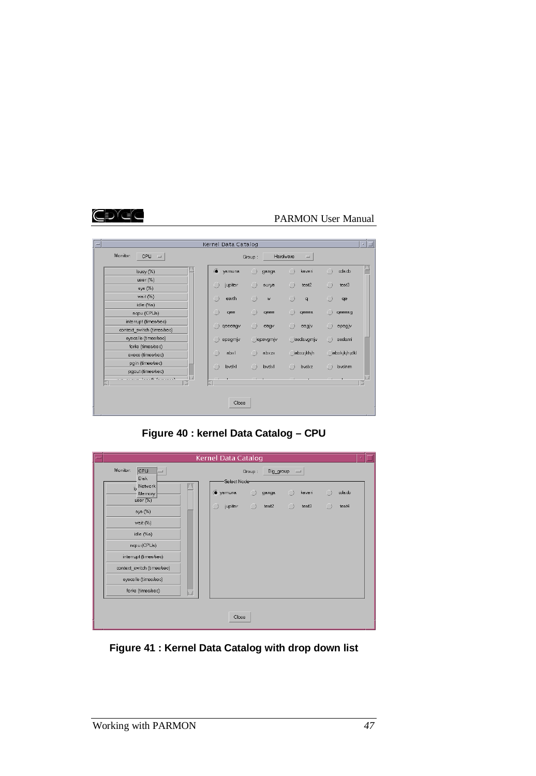# CDGC

# PARMON User Manual

| $\overline{}$<br>Monitor:<br>CPU<br>$\sim$                 | Kernel Data Catalog | Group:            |          | Hardware<br>$\equiv$ |                  |
|------------------------------------------------------------|---------------------|-------------------|----------|----------------------|------------------|
|                                                            |                     |                   |          |                      |                  |
| busy (%)                                                   | $\bullet$<br>yamuna | $\Box$            | ganga    | $\bigcap$<br>kaveri  | oda.cb<br>$\Box$ |
| $user (\%)$                                                |                     |                   |          |                      |                  |
| sys (%)                                                    | Ω<br>jupiter        | ∩                 | surya    | Ω<br>test2           | ∩<br>test3       |
| wait (%)                                                   | Ω<br>earth          | a                 | W        | $\Box$<br>$\alpha$   | $\Box$<br>qe     |
| idle (%s)                                                  |                     |                   |          |                      |                  |
| napu (CPUs)                                                | a<br>qee            | C                 | qeee     | $\Box$<br>qeeea      | geeeag           |
| interrupt (times/sec)                                      |                     |                   |          |                      |                  |
| context_switch (times/sec)                                 | qeeeagv             | Ω                 | eagy     | Ω<br>eagjv           | epagjv           |
| syscalls (times/sec)                                       | epagmjv<br>Ω        |                   | epavgmjv | asdavgmjv            | $\Box$<br>asdaml |
| forks (times/sec)                                          |                     |                   |          |                      |                  |
| execs (times/sec)                                          | Ω<br>abxl           | ∩                 | abxzx    | dabxzjkhjh           | abxkjkjh;dkl     |
| pgin (times/sec)                                           | C<br>bvdkl          | $\Box$            | bvdxl    | $\Box$<br>bydxz      | bydnm<br>$\Box$  |
| pgout (times/sec)                                          |                     |                   |          |                      |                  |
| and an experience the secondary of the second state of the | ×.                  | <b>Contractor</b> |          |                      |                  |
|                                                            |                     |                   |          |                      |                  |
|                                                            |                     |                   |          |                      |                  |
|                                                            |                     | Close             |          |                      |                  |
|                                                            |                     |                   |          |                      |                  |

**Figure 40 : kernel Data Catalog – CPU**

|                                    | Kernel Data Catalog                                               |  |
|------------------------------------|-------------------------------------------------------------------|--|
| Monitor:<br>CPU<br>- 11<br>Disk    | Big_group<br>$\equiv$<br>Group:<br>Select Node-                   |  |
| b Network<br>Memory<br>$user (\%)$ | o yamuna<br>$\cap$<br>Ω<br>kaveri<br>oda.cb<br>$\bigcap$<br>ganga |  |
| sys (%)                            | jupiter<br>$\bigcap$<br>test2<br>test3<br>Ω<br>test4<br>$\Box$    |  |
| wait (%)                           |                                                                   |  |
| idle (%s)                          |                                                                   |  |
| napu (CPUs)                        |                                                                   |  |
| interrupt (times/sec)              |                                                                   |  |
| context switch (times/sec)         |                                                                   |  |
| syscalls (times/sec)               |                                                                   |  |
| forks (times/sec)<br>J             |                                                                   |  |
|                                    |                                                                   |  |
|                                    | Close                                                             |  |

**Figure 41 : Kernel Data Catalog with drop down list**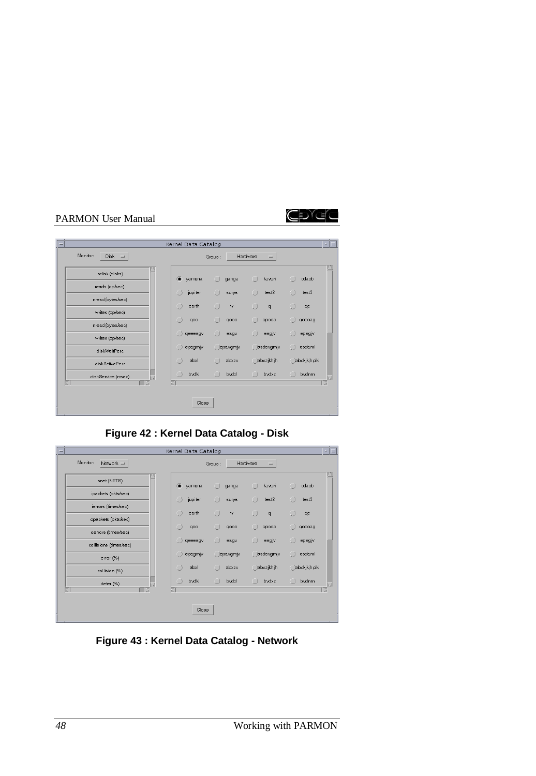

| $\overline{\phantom{a}}$        | Kernel Data Catalog |                     |                                                          | - 10             |
|---------------------------------|---------------------|---------------------|----------------------------------------------------------|------------------|
| Monitor:<br>$Disk =$            |                     | Group:              | Hardware<br>$\equiv$                                     |                  |
| ndisk (disks)                   | $\bullet$<br>yamuna | $\bigcap$<br>ganga  | $\Box$<br>kaveri                                         | Ω<br>oda.cb      |
| reads (op/sec)                  | jupiter<br>$\cup$   | $\cup$<br>surya     | $\cup$<br>test2                                          | $\cup$<br>test3  |
| nread(bytes/sec)                | O<br>earth          | $\cap$<br>W         | ∩<br>$\mathbf{q}$                                        | a<br>qe          |
| writes (op/sec)                 | Ω<br>qee            | œ<br>qeee           | $\left( \begin{array}{c} 1 \end{array} \right)$<br>qeeea | œ<br>qeeeag      |
| nread(bytes/sec)                | qeeeagv             | $\Box$<br>eagv      | Ω<br>eagjv                                               | Ω<br>epagjv      |
| writes (op/sec)<br>diskWaitPerc | epagmjv<br>O        | epavgmjv            | asdavgmjv                                                | $\Box$<br>asdaml |
| diskActivePerc                  | abxl<br>O           | $\bigcirc$<br>abxzx | <b>abxzjkhjh</b>                                         | abxkjkjh;dkl     |
| diskService (msec)              | ∩<br>bvdkl          | O<br>bvdxl          | $\bigcap$<br>bydxz                                       | ∩<br>bydnm       |
|                                 |                     |                     |                                                          |                  |
|                                 | Close               |                     |                                                          |                  |
|                                 |                     |                     |                                                          |                  |

**Figure 42 : Kernel Data Catalog - Disk**

| $\overline{}$ |                                            | Kernel Data Catalog                                               | $\Box$<br>$\mathbf{z}$                                 |
|---------------|--------------------------------------------|-------------------------------------------------------------------|--------------------------------------------------------|
|               | Monitor:<br>Network $=$                    | Hardware<br>Group:                                                | $\qquad \qquad =\qquad$                                |
|               | nnet (NETS)                                | a yamuna<br>$\bigcap$<br>Ω<br>ganga                               | kaveri<br>oda.cb<br>$\bigcap$                          |
|               | ipackets (pkts/sec)<br>ierrors (times/sec) | jupiter<br>⋂<br>$\Box$<br>$\Box$<br>surya                         | test2<br>test3<br>œ                                    |
|               | opackets (pkts/sec)                        | O<br>∩<br>∩<br>earth<br>W                                         | ∩<br>$\alpha$<br>qe                                    |
|               | oerrors (times/sec)                        | $\Box$<br>œ<br>qee<br>c<br>qeee                                   | qeeea<br>o<br>qeeeag                                   |
|               | collisions (times/sec)                     | O<br>r<br>qeeeagv<br>0<br>eagy                                    | eagjv<br>epagjv                                        |
|               | error (%)                                  | Ω<br>epagmjv<br>epavgmjv<br>$\Box$<br>abxl<br>$\bigcirc$<br>abxzx | asdavgmiv<br>asdaml<br>∩<br>dabxzjkhjh<br>abxkjkjh;dkl |
|               | collision (%)                              | ∩<br>bvdkl<br>$\bigcap$<br>bvdxl<br>O                             | ∩<br>bydxz<br>bydnm                                    |
|               | defer (%)                                  |                                                                   |                                                        |
|               |                                            | Close                                                             |                                                        |

**Figure 43 : Kernel Data Catalog - Network**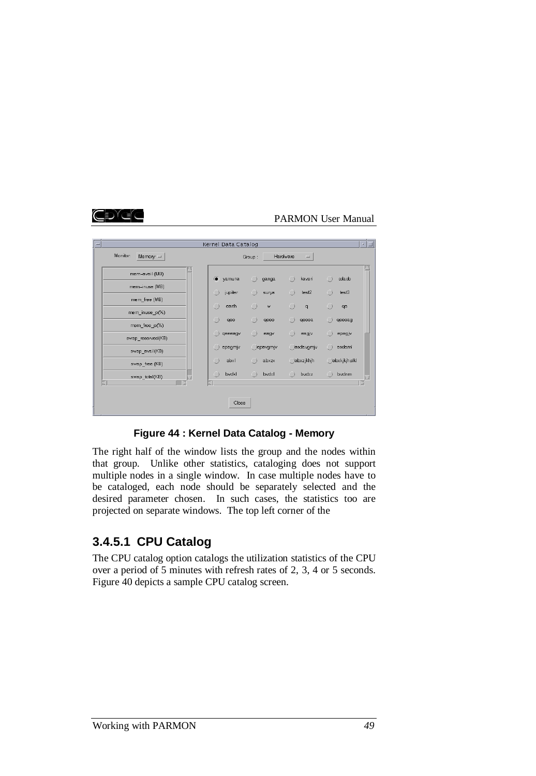

| $\sim$                           | Kernel Data Catalog      |                     |                                         | • ∐                        |
|----------------------------------|--------------------------|---------------------|-----------------------------------------|----------------------------|
| Monitor:<br>Memory $=$           |                          | Group:              | Hardware<br>$\equiv$                    |                            |
| mem-avail (MB)                   | a yamuna                 | $\bigcirc$<br>ganga | $\bigcap$<br>kaveri                     | $\Box$<br>oda.cb           |
| mem-inuse (MB)<br>mem free (MB)  | jupiter                  | Ω<br>surya          | test2<br>$\Box$                         | a<br>test3                 |
| mem_inuse_p(%)                   | earth                    | $\bigcap$<br>W      | ∩<br>$\mathbf q$                        | ∩<br>qe                    |
| mem free p(%)                    | qee<br>$\Box$<br>qeeeagv | qeee<br>Ω<br>eagv   | $\left( \right)$<br>qeeea<br>Ω<br>eagjv | œ<br>qeeeag<br>Ω<br>epagjv |
| swap_reserved(KB)                | epagmjv                  | epavgmjv            | Jasdavgmjv                              | asdaml<br>$\Box$           |
| swap_avail(KB)<br>swap free (KB) | abxl                     | $\Box$<br>abxzx     | <b>abxzjkhjh</b>                        | abxkjkjh;dkl               |
| swap_total(KB)                   | O<br>bvdkl               | $\bigcirc$<br>bvdxl | Ω<br>bydxz                              | ∩<br>bydnm                 |
|                                  | Close                    |                     |                                         |                            |

#### **Figure 44 : Kernel Data Catalog - Memory**

The right half of the window lists the group and the nodes within that group. Unlike other statistics, cataloging does not support multiple nodes in a single window. In case multiple nodes have to be cataloged, each node should be separately selected and the desired parameter chosen. In such cases, the statistics too are projected on separate windows. The top left corner of the

# **3.4.5.1 CPU Catalog**

The CPU catalog option catalogs the utilization statistics of the CPU over a period of 5 minutes with refresh rates of 2, 3, 4 or 5 seconds. Figure 40 depicts a sample CPU catalog screen.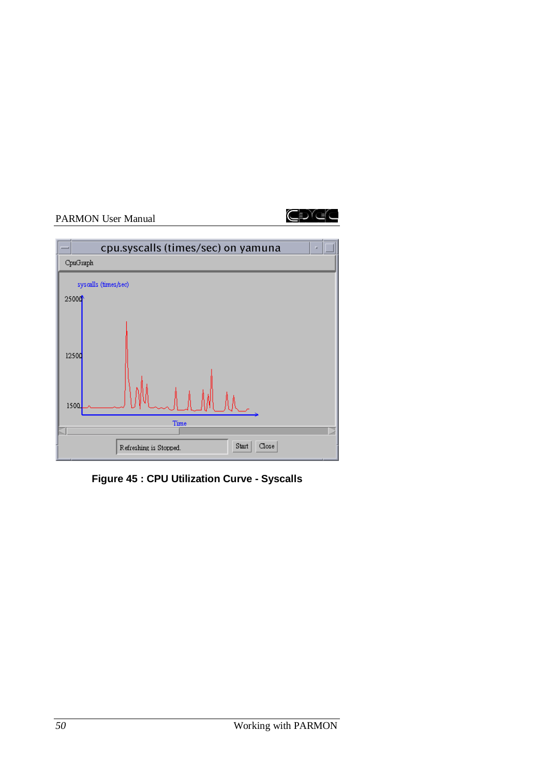



**Figure 45 : CPU Utilization Curve - Syscalls**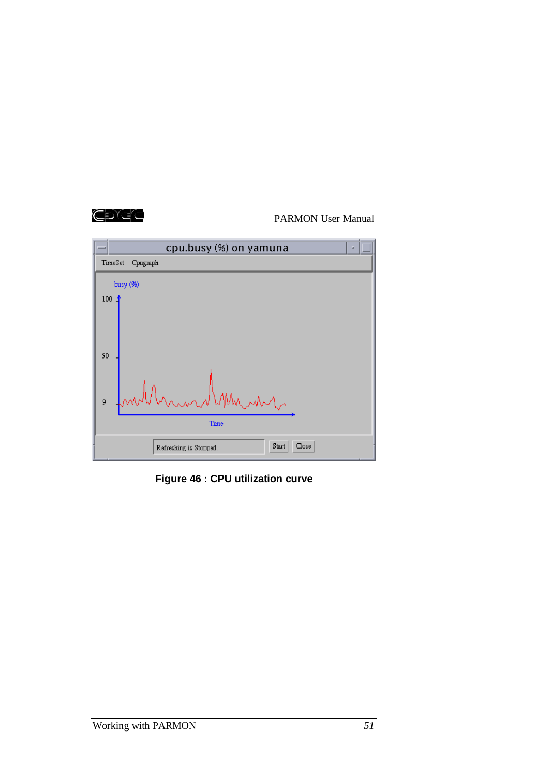## CĐGC

# PARMON User Manual



**Figure 46 : CPU utilization curve**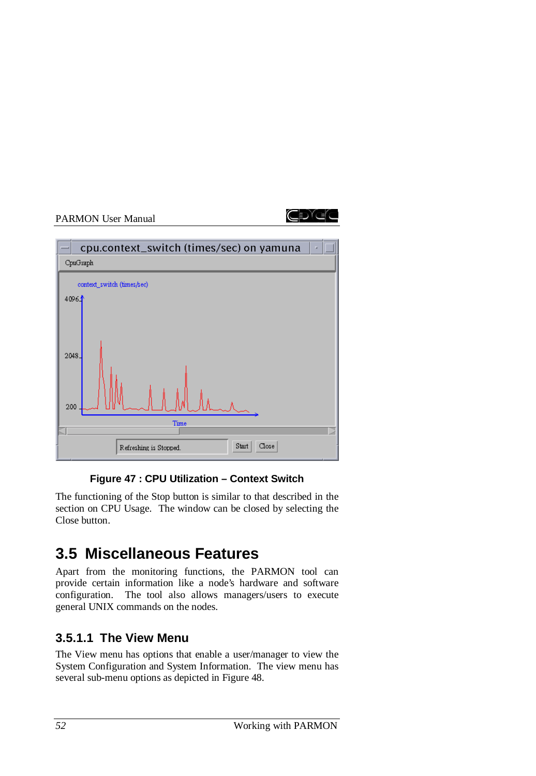



# **Figure 47 : CPU Utilization – Context Switch**

The functioning of the Stop button is similar to that described in the section on CPU Usage. The window can be closed by selecting the Close button.

# **3.5 Miscellaneous Features**

Apart from the monitoring functions, the PARMON tool can provide certain information like a node's hardware and software configuration. The tool also allows managers/users to execute general UNIX commands on the nodes.

# **3.5.1.1 The View Menu**

The View menu has options that enable a user/manager to view the System Configuration and System Information. The view menu has several sub-menu options as depicted in Figure 48.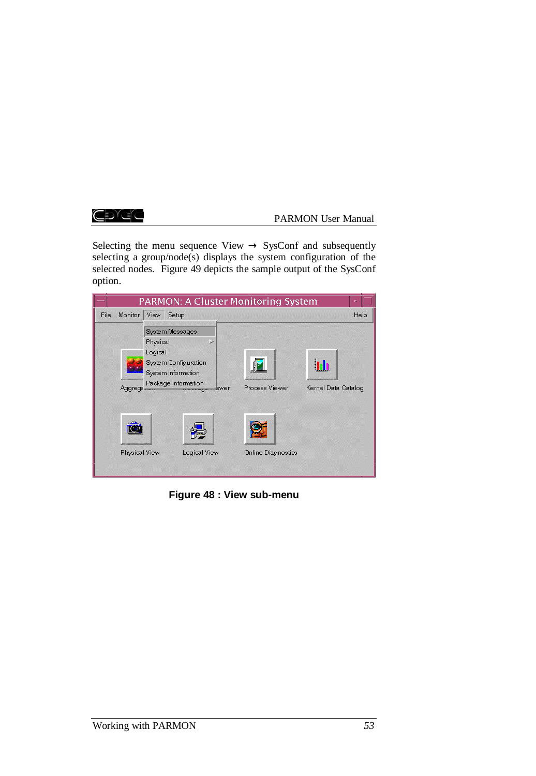CĐAS

## PARMON User Manual

Selecting the menu sequence View  $\rightarrow$  SysConf and subsequently selecting a group/node(s) displays the system configuration of the selected nodes. Figure 49 depicts the sample output of the SysConf option.



**Figure 48 : View sub-menu**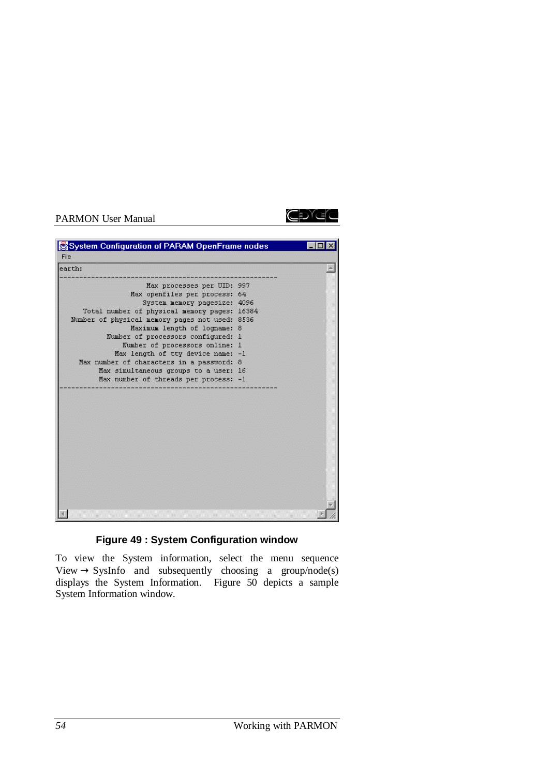

## **Figure 49 : System Configuration window**

To view the System information, select the menu sequence View  $\rightarrow$  SysInfo and subsequently choosing a group/node(s) displays the System Information. Figure 50 depicts a sample System Information window.

ŒDĭŒ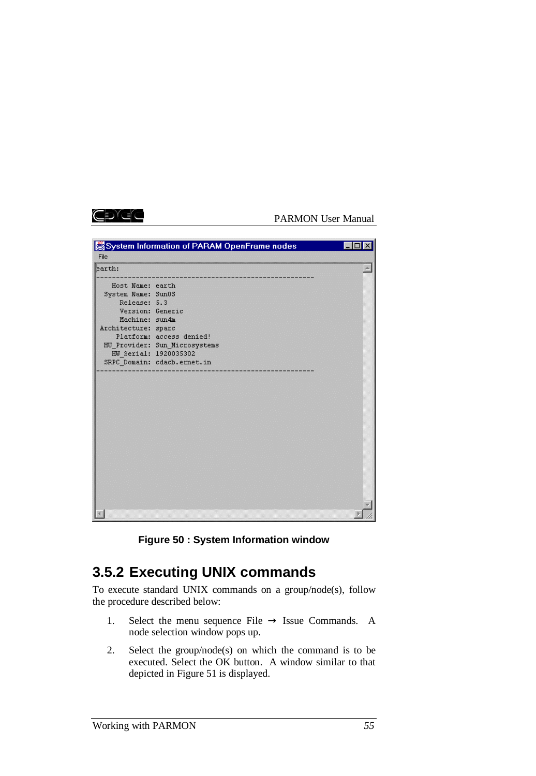

|                                                                                                                                              | System Information of PARAM OpenFrame nodes                                              |  |
|----------------------------------------------------------------------------------------------------------------------------------------------|------------------------------------------------------------------------------------------|--|
| File                                                                                                                                         |                                                                                          |  |
| earth:                                                                                                                                       |                                                                                          |  |
| Host Name: earth<br>System Name: Sun0S<br>Release: 5.3<br>Version: Generic<br>Machine: sun4m<br>Architecture: sparc<br>HW Serial: 1920035302 | Platform: access denied!<br>HW Provider: Sun Microsystems<br>SRPC Domain: cdacb.ernet.in |  |
|                                                                                                                                              |                                                                                          |  |
|                                                                                                                                              |                                                                                          |  |

**Figure 50 : System Information window**

# **3.5.2 Executing UNIX commands**

To execute standard UNIX commands on a group/node(s), follow the procedure described below:

- 1. Select the menu sequence File  $\rightarrow$  Issue Commands. A node selection window pops up.
- 2. Select the group/node(s) on which the command is to be executed. Select the OK button. A window similar to that depicted in Figure 51 is displayed.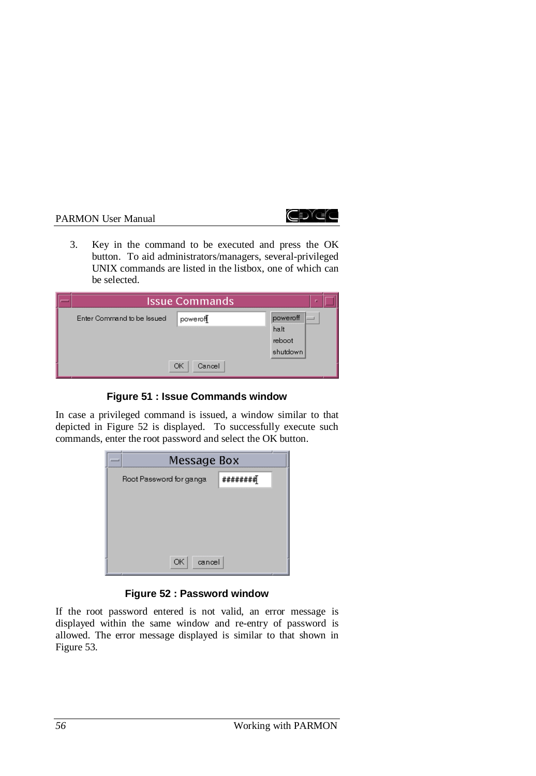

3. Key in the command to be executed and press the OK button. To aid administrators/managers, several-privileged UNIX commands are listed in the listbox, one of which can be selected.

|                            | Issue Commands | $\mathbf{p}$ |  |
|----------------------------|----------------|--------------|--|
| Enter Command to be Issued | powerof        | poweroff     |  |
|                            |                | halt         |  |
|                            |                | reboot       |  |
|                            |                | shutdown     |  |
|                            | ОК<br>Cancel   |              |  |

## **Figure 51 : Issue Commands window**

In case a privileged command is issued, a window similar to that depicted in Figure 52 is displayed. To successfully execute such commands, enter the root password and select the OK button.



## **Figure 52 : Password window**

If the root password entered is not valid, an error message is displayed within the same window and re-entry of password is allowed. The error message displayed is similar to that shown in Figure 53.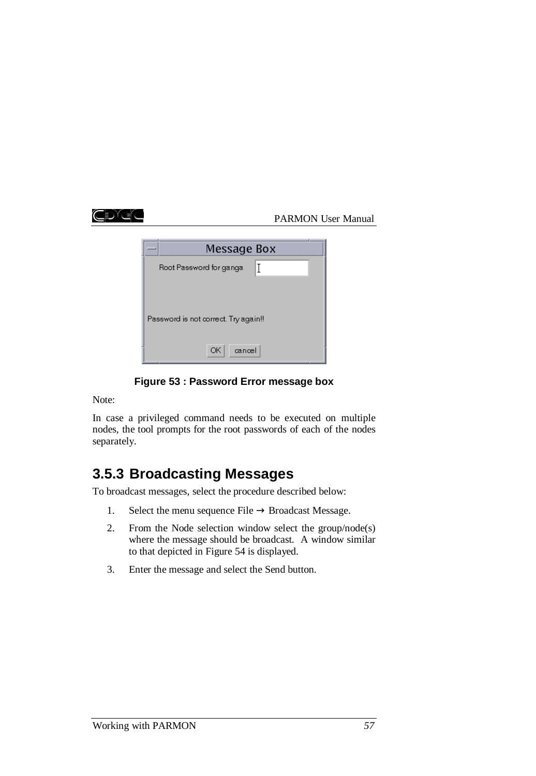IDYEC

## PARMON User Manual

| Message Box                          |   |
|--------------------------------------|---|
| Root Password for ganga              | Τ |
|                                      |   |
| Password is not correct. Try again!! |   |
| ОК<br>cancel                         |   |

**Figure 53 : Password Error message box**

Note:

In case a privileged command needs to be executed on multiple nodes, the tool prompts for the root passwords of each of the nodes separately.

# **3.5.3 Broadcasting Messages**

To broadcast messages, select the procedure described below:

- 1. Select the menu sequence File  $\rightarrow$  Broadcast Message.
- 2. From the Node selection window select the group/node(s) where the message should be broadcast. A window similar to that depicted in Figure 54 is displayed.
- 3. Enter the message and select the Send button.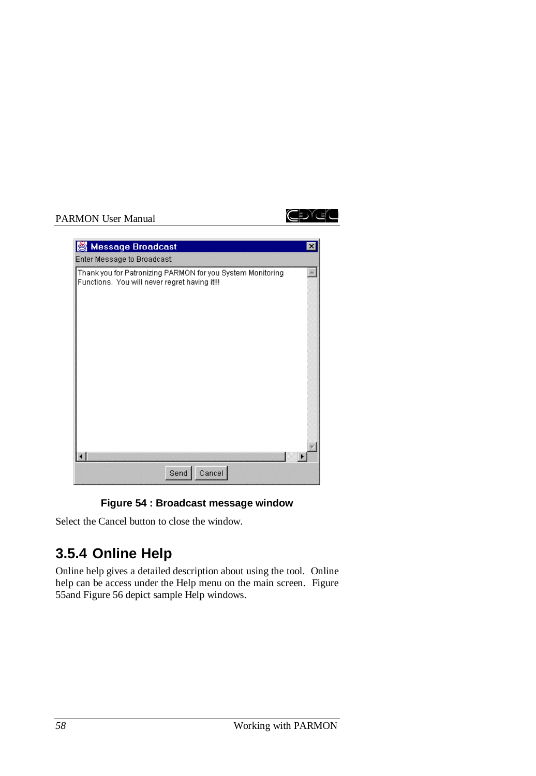



| Thank you for Patronizing PARMON for you System Monitoring<br>Functions. You will never regret having it!!! |
|-------------------------------------------------------------------------------------------------------------|
|                                                                                                             |
|                                                                                                             |
|                                                                                                             |
|                                                                                                             |
|                                                                                                             |
|                                                                                                             |
| Cancel                                                                                                      |

# **Figure 54 : Broadcast message window**

Select the Cancel button to close the window.

# **3.5.4 Online Help**

Online help gives a detailed description about using the tool. Online help can be access under the Help menu on the main screen. Figure 55and Figure 56 depict sample Help windows.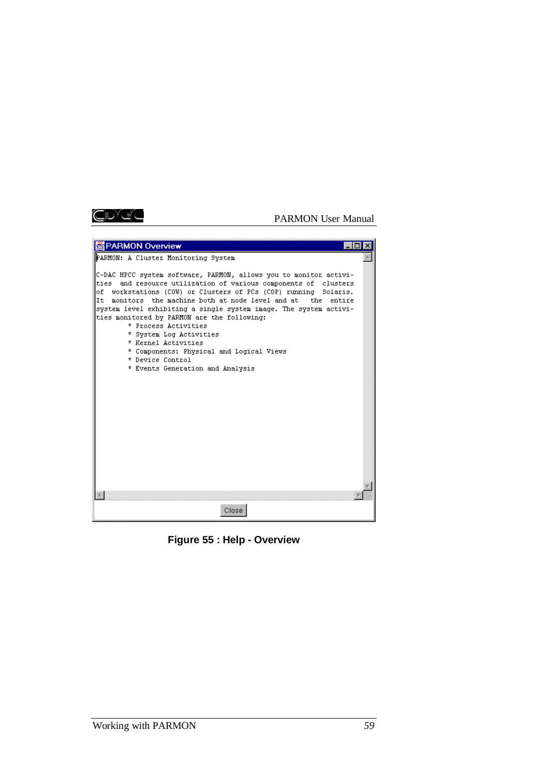## ŒDEE

#### PARMON User Manual



**Figure 55 : Help - Overview**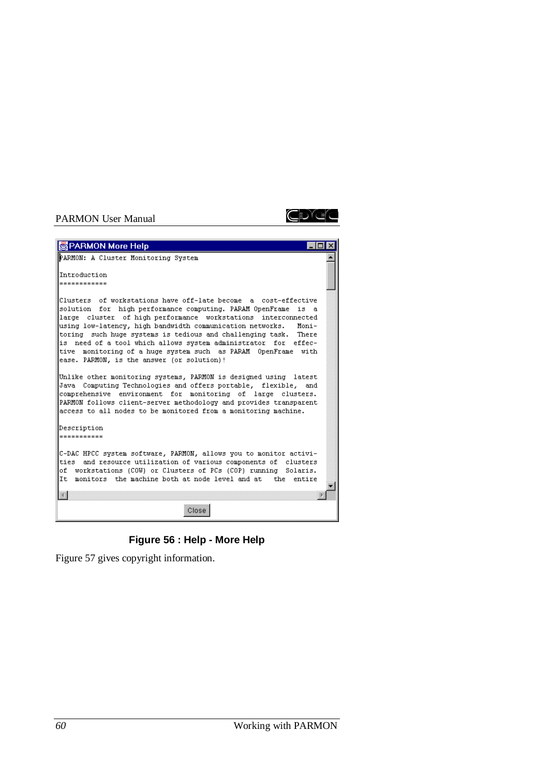

| PARMON More Help                                                                                                                                                                                                                                                                                                                                                                                                                                                                                                                 |  |
|----------------------------------------------------------------------------------------------------------------------------------------------------------------------------------------------------------------------------------------------------------------------------------------------------------------------------------------------------------------------------------------------------------------------------------------------------------------------------------------------------------------------------------|--|
| PARMON: A Cluster Monitoring System                                                                                                                                                                                                                                                                                                                                                                                                                                                                                              |  |
|                                                                                                                                                                                                                                                                                                                                                                                                                                                                                                                                  |  |
| Introduction                                                                                                                                                                                                                                                                                                                                                                                                                                                                                                                     |  |
| ------------                                                                                                                                                                                                                                                                                                                                                                                                                                                                                                                     |  |
| Clusters of workstations have off-late become a cost-effective<br>solution for high performance computing. PARAM OpenFrame<br>is a<br>large cluster of high performance workstations interconnected<br>using low-latency, high bandwidth communication networks.<br>Moni-<br>toring such huge systems is tedious and challenging task. There<br>is need of a tool which allows system administrator<br>for effec-<br>tive monitoring of a huge system such as PARAM OpenFrame with<br>ease. PARMON, is the answer (or solution)! |  |
| Unlike other monitoring systems, PARMON is designed using latest<br>Java Computing Technologies and offers portable, flexible, and<br>comprehensive environment for monitoring of large clusters.<br>PARMON follows client-server methodology and provides transparent<br>access to all nodes to be monitored from a monitoring machine.                                                                                                                                                                                         |  |
| Description<br>-----------                                                                                                                                                                                                                                                                                                                                                                                                                                                                                                       |  |
| C-DAC HPCC system software, PARMON, allows you to monitor activi-<br>ties and resource utilization of various components of clusters<br>of workstations (COW) or Clusters of PCs (COP) running Solaris.<br>It monitors the machine both at node level and at the<br>entire                                                                                                                                                                                                                                                       |  |
| Close                                                                                                                                                                                                                                                                                                                                                                                                                                                                                                                            |  |

**Figure 56 : Help - More Help**

Figure 57 gives copyright information.